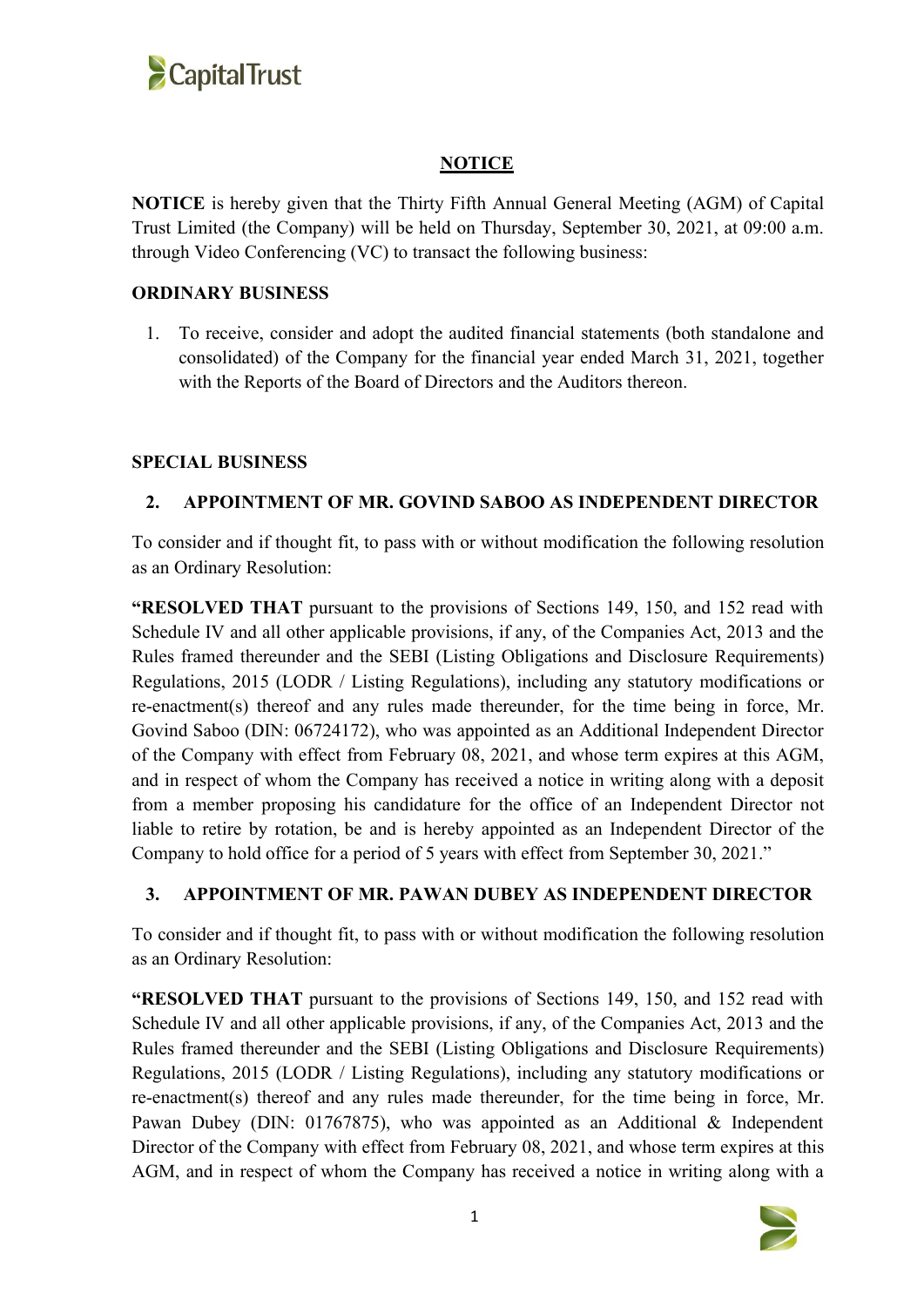

## **NOTICE**

**NOTICE** is hereby given that the Thirty Fifth Annual General Meeting (AGM) of Capital Trust Limited (the Company) will be held on Thursday, September 30,2021, at 09:00 a.m. through Video Conferencing (VC) to transact the following business:

## **ORDINARY BUSINESS**

1. To receive, consider and adopt the audited financial statements (both standalone and consolidated) of the Company for the financial year ended March 31, 2021, together with the Reports of the Board of Directors and the Auditors thereon.

## **SPECIAL BUSINESS**

## **2. APPOINTMENT OF MR. GOVIND SABOO AS INDEPENDENT DIRECTOR**

To consider and if thought fit, to pass with or without modification the following resolution as an Ordinary Resolution:

**"RESOLVED THAT** pursuant to the provisions of Sections 149, 150, and 152 read with Schedule IV and all other applicable provisions, if any, of the Companies Act, 2013 and the Rules framed thereunder and the SEBI (Listing Obligations and Disclosure Requirements) Regulations, 2015 (LODR / Listing Regulations), including any statutory modifications or re-enactment(s) thereof and any rules made thereunder, for the time being in force, Mr. Govind Saboo (DIN: [06724172\)](https://www.mca.gov.in/mcafoportal/companyLLPMasterData.do), who was appointed as an Additional Independent Director of the Company with effect from February 08, 2021, and whose term expires at this AGM, and in respect of whom the Company has received a notice in writing along with a deposit from a member proposing his candidature for the office of an Independent Director not liable to retire by rotation, be and is hereby appointed as an Independent Director of the Company to hold office for a period of 5 years with effect from September 30, 2021."

## **3. APPOINTMENT OF MR. PAWAN DUBEY AS INDEPENDENT DIRECTOR**

To consider and if thought fit, to pass with or without modification the following resolution as an Ordinary Resolution:

**"RESOLVED THAT** pursuant to the provisions of Sections 149, 150, and 152 read with Schedule IV and all other applicable provisions, if any, of the Companies Act, 2013 and the Rules framed thereunder and the SEBI (Listing Obligations and Disclosure Requirements) Regulations, 2015 (LODR / Listing Regulations), including any statutory modifications or re-enactment(s) thereof and any rules made thereunder, for the time being in force, Mr. Pawan Dubey (DIN: [01767875\)](https://www.mca.gov.in/mcafoportal/companyLLPMasterData.do), who was appointed as an Additional & Independent Director of the Company with effect from February 08, 2021, and whose term expires at this AGM, and in respect of whom the Company has received a notice in writing along with a

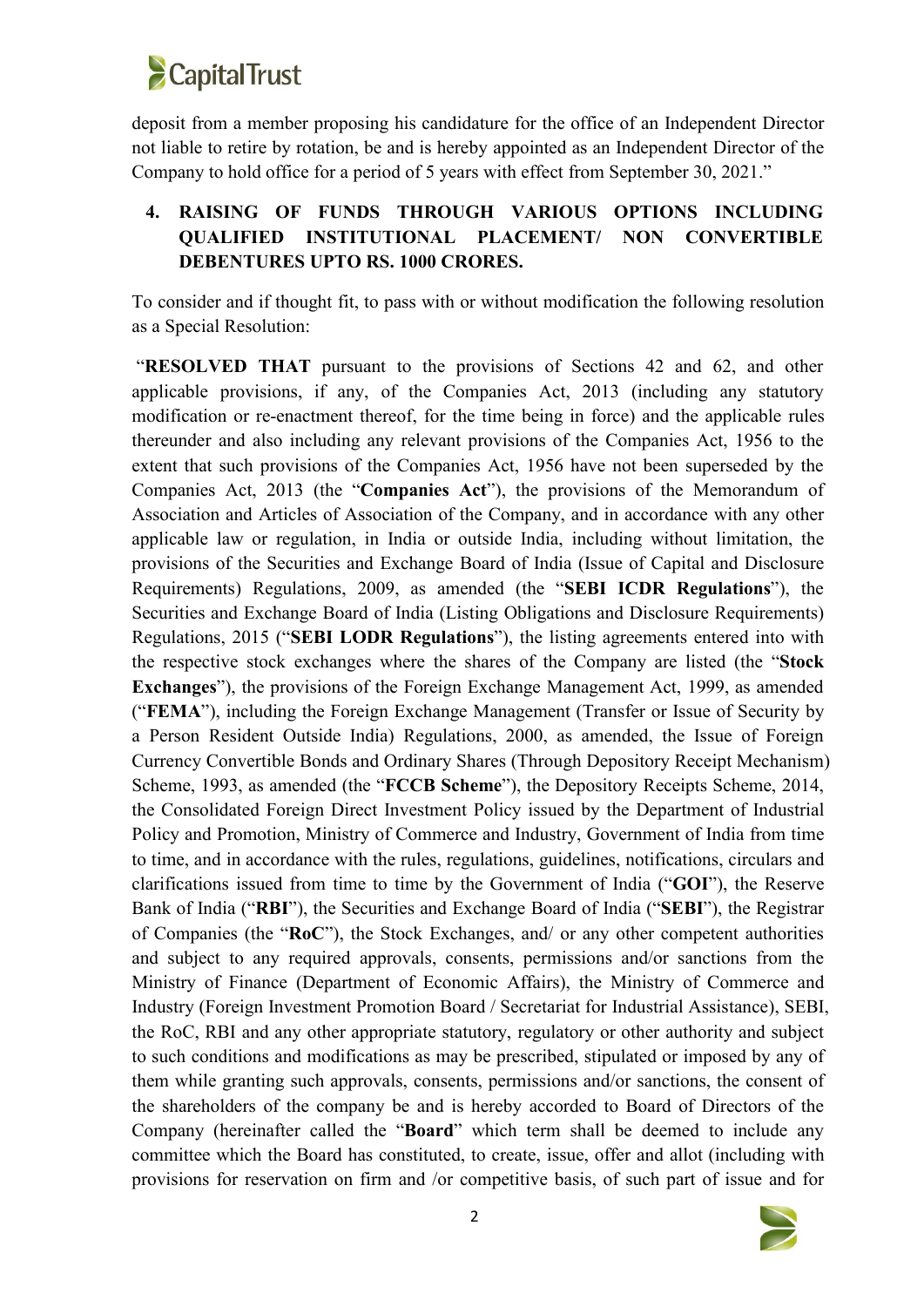

deposit from a member proposing his candidature for the office of an Independent Director not liable to retire by rotation, be and is hereby appointed as an Independent Director of the Company to hold office for a period of 5 years with effect from September 30, 2021."

# **4. RAISING OF FUNDS THROUGH VARIOUS OPTIONS INCLUDING QUALIFIED INSTITUTIONAL PLACEMENT/ NON CONVERTIBLE DEBENTURES UPTO RS. 1000 CRORES.**

To consider and if thought fit, to pass with or without modification the following resolution as a Special Resolution:

"**RESOLVED THAT** pursuant to the provisions of Sections 42 and 62, and other applicable provisions, if any, of the Companies Act, 2013 (including any statutory modification or re-enactment thereof, for the time being in force) and the applicable rules thereunder and also including any relevant provisions of the Companies Act, 1956 to the extent that such provisions of the Companies Act, 1956 have not been superseded by the Companies Act, 2013 (the "**Companies Act**"), the provisions of the Memorandum of Association and Articles of Association of the Company, and in accordance with any other applicable law or regulation, in India or outside India, including without limitation, the provisions of the Securities and Exchange Board of India (Issue of Capital and Disclosure Requirements) Regulations, 2009, as amended (the "**SEBI ICDR Regulations**"), the Securities and Exchange Board of India (Listing Obligations and Disclosure Requirements) Regulations, 2015 ("**SEBI LODR Regulations**"), the listing agreements entered into with the respective stock exchanges where the shares of the Company are listed (the "**Stock Exchanges**"), the provisions of the Foreign Exchange Management Act, 1999, as amended ("**FEMA**"), including the Foreign Exchange Management (Transfer or Issue of Security by a Person Resident Outside India) Regulations, 2000, as amended, the Issue of Foreign Currency Convertible Bonds and Ordinary Shares (Through Depository Receipt Mechanism) Scheme, 1993, as amended (the "**FCCB Scheme**"), the Depository Receipts Scheme, 2014, the Consolidated Foreign Direct Investment Policy issued by the Department of Industrial Policy and Promotion, Ministry of Commerce and Industry, Government of India from time to time, and in accordance with the rules, regulations, guidelines, notifications, circulars and clarifications issued from time to time by the Government of India ("**GOI**"), the Reserve Bank of India ("**RBI**"), the Securities and Exchange Board of India ("**SEBI**"), the Registrar of Companies (the "**RoC**"), the Stock Exchanges, and/ or any other competent authorities and subject to any required approvals, consents, permissions and/or sanctions from the Ministry of Finance (Department of Economic Affairs), the Ministry of Commerce and Industry (Foreign Investment Promotion Board / Secretariat for Industrial Assistance), SEBI, the RoC, RBI and any other appropriate statutory, regulatory or other authority and subject to such conditions and modifications as may be prescribed, stipulated or imposed by any of them while granting such approvals, consents, permissions and/or sanctions, the consent of the shareholders of the company be and is hereby accorded to Board of Directors of the Company (hereinafter called the "**Board**" which term shall be deemed to include any committee which the Board has constituted, to create, issue, offer and allot (including with provisions for reservation on firm and /or competitive basis, of such part of issue and for

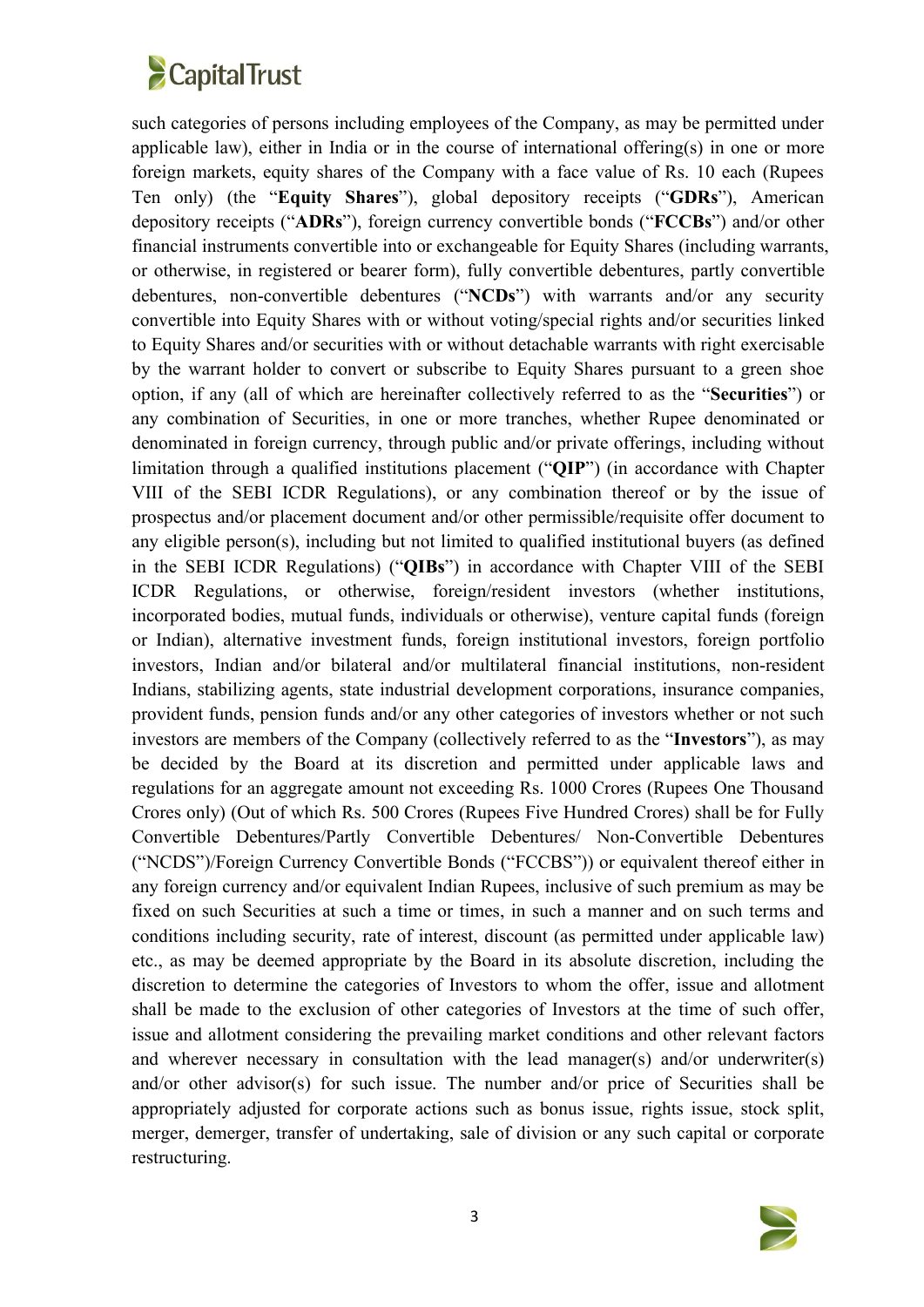# **CapitalTrust**

such categories of persons including employees of the Company, as may be permitted under applicable law), either in India or in the course of international offering(s) in one or more foreign markets, equity shares of the Company with a face value of Rs. 10 each (Rupees Ten only) (the "**Equity Shares**"), global depository receipts ("**GDRs**"), American depository receipts ("**ADRs**"), foreign currency convertible bonds ("**FCCBs**") and/or other financial instruments convertible into or exchangeable for Equity Shares (including warrants, or otherwise, in registered or bearer form), fully convertible debentures, partly convertible debentures, non-convertible debentures ("**NCDs**") with warrants and/or any security convertible into Equity Shares with or without voting/special rights and/or securities linked to Equity Shares and/or securities with or without detachable warrants with right exercisable by the warrant holder to convert or subscribe to Equity Shares pursuant to a green shoe option, if any (all of which are hereinafter collectively referred to as the "**Securities**") or any combination of Securities, in one or more tranches, whether Rupee denominated or denominated in foreign currency, through public and/or private offerings, including without limitation through a qualified institutions placement ("**QIP**") (in accordance with Chapter VIII of the SEBI ICDR Regulations), or any combination thereof or by the issue of prospectus and/or placement document and/or other permissible/requisite offer document to any eligible person(s), including but not limited to qualified institutional buyers (as defined in the SEBI ICDR Regulations) ("**QIBs**") in accordance with Chapter VIII of the SEBI ICDR Regulations, or otherwise, foreign/resident investors (whether institutions, incorporated bodies, mutual funds, individuals or otherwise), venture capital funds (foreign or Indian), alternative investment funds, foreign institutional investors, foreign portfolio investors, Indian and/or bilateral and/or multilateral financial institutions, non-resident Indians, stabilizing agents, state industrial development corporations, insurance companies, provident funds, pension funds and/or any other categories of investors whether or not such investors are members of the Company (collectively referred to as the "**Investors**"), as may be decided by the Board at its discretion and permitted under applicable laws and regulations for an aggregate amount not exceeding Rs. 1000 Crores (Rupees One Thousand Crores only) (Out of which Rs. 500 Crores (Rupees Five Hundred Crores) shall be for Fully Convertible Debentures/Partly Convertible Debentures/ Non-Convertible Debentures ("NCDS")/Foreign Currency Convertible Bonds ("FCCBS")) or equivalent thereof either in any foreign currency and/or equivalent Indian Rupees, inclusive of such premium as may be fixed on such Securities at such a time or times, in such a manner and on such terms and conditions including security, rate of interest, discount (as permitted under applicable law) etc., as may be deemed appropriate by the Board in its absolute discretion, including the discretion to determine the categories of Investors to whom the offer, issue and allotment shall be made to the exclusion of other categories of Investors at the time of such offer, issue and allotment considering the prevailing market conditions and other relevant factors and wherever necessary in consultation with the lead manager(s) and/or underwriter(s) and/or other advisor(s) for such issue. The number and/or price of Securities shall be appropriately adjusted for corporate actions such as bonus issue, rights issue, stock split, merger, demerger, transfer of undertaking, sale of division or any such capital or corporate restructuring.

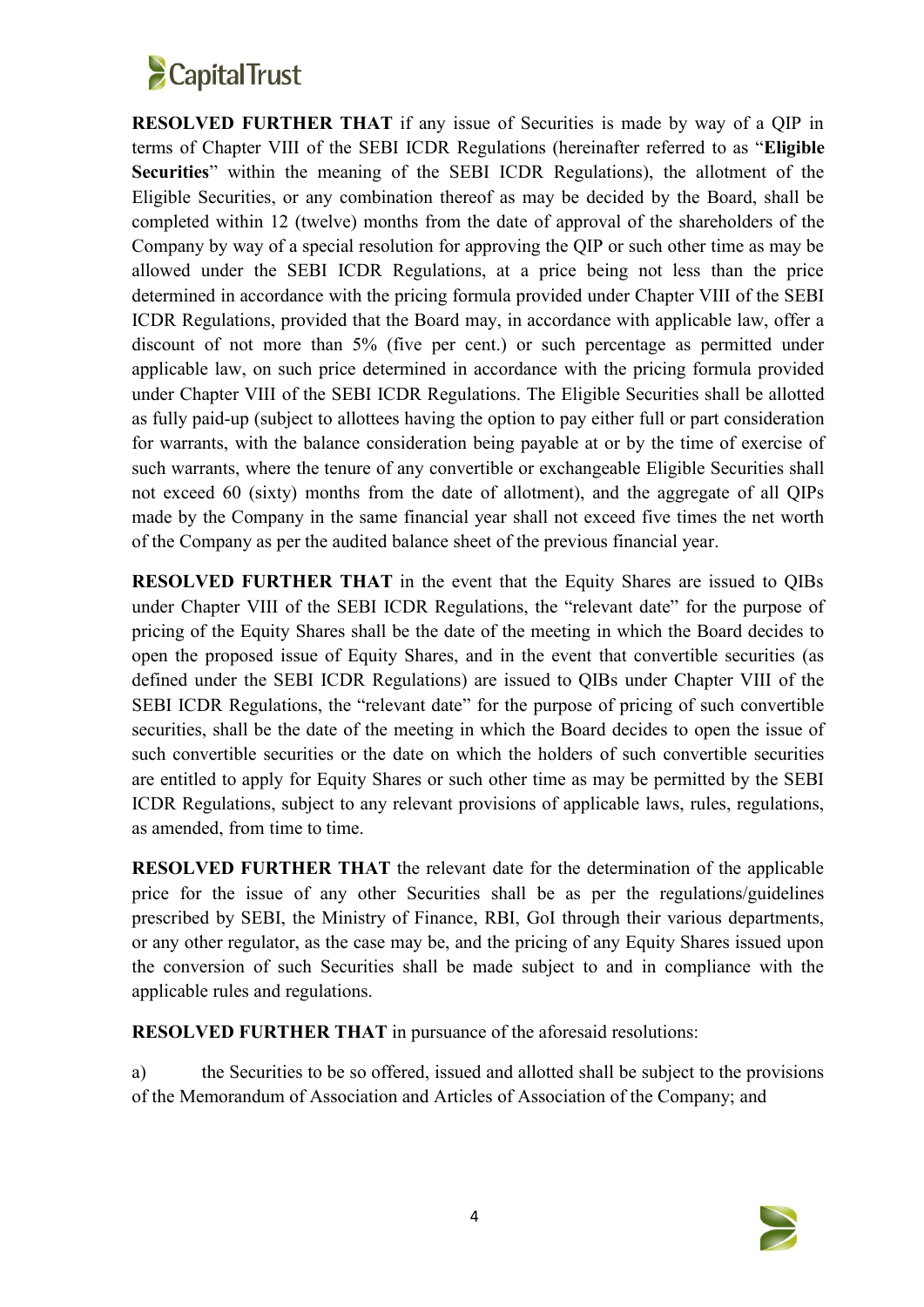

**RESOLVED FURTHER THAT** if any issue of Securities is made by way of a QIP in terms of Chapter VIII of the SEBI ICDR Regulations (hereinafter referred to as "**Eligible Securities**" within the meaning of the SEBI ICDR Regulations), the allotment of the Eligible Securities, or any combination thereof as may be decided by the Board, shall be completed within 12 (twelve) months from the date of approval of the shareholders of the Company by way of a special resolution for approving the QIP or such other time as may be allowed under the SEBI ICDR Regulations, at a price being not less than the price determined in accordance with the pricing formula provided under Chapter VIII of the SEBI ICDR Regulations, provided that the Board may, in accordance with applicable law, offer a discount of not more than 5% (five per cent.) or such percentage as permitted under applicable law, on such price determined in accordance with the pricing formula provided under Chapter VIII of the SEBI ICDR Regulations. The Eligible Securities shall be allotted as fully paid-up (subject to allottees having the option to pay either full or part consideration for warrants, with the balance consideration being payable at or by the time of exercise of such warrants, where the tenure of any convertible or exchangeable Eligible Securities shall not exceed 60 (sixty) months from the date of allotment), and the aggregate of all QIPs made by the Company in the same financial year shall not exceed five times the net worth of the Company as per the audited balance sheet of the previous financial year.

**RESOLVED FURTHER THAT** in the event that the Equity Shares are issued to QIBs under Chapter VIII of the SEBI ICDR Regulations, the "relevant date" for the purpose of pricing of the Equity Shares shall be the date of the meeting in which the Board decides to open the proposed issue of Equity Shares, and in the event that convertible securities (as defined under the SEBI ICDR Regulations) are issued to QIBs under Chapter VIII of the SEBI ICDR Regulations, the "relevant date" for the purpose of pricing of such convertible securities, shall be the date of the meeting in which the Board decides to open the issue of such convertible securities or the date on which the holders of such convertible securities are entitled to apply for Equity Shares or such other time as may be permitted by the SEBI ICDR Regulations, subject to any relevant provisions of applicable laws, rules, regulations, as amended, from time to time.

**RESOLVED FURTHER THAT** the relevant date for the determination of the applicable price for the issue of any other Securities shall be as per the regulations/guidelines prescribed by SEBI, the Ministry of Finance, RBI, GoI through their various departments, or any other regulator, as the case may be, and the pricing of any Equity Shares issued upon the conversion of such Securities shall be made subject to and in compliance with the applicable rules and regulations.

**RESOLVED FURTHER THAT** in pursuance of the aforesaid resolutions:

a) the Securities to be so offered, issued and allotted shall be subject to the provisions of the Memorandum of Association and Articles of Association of the Company; and

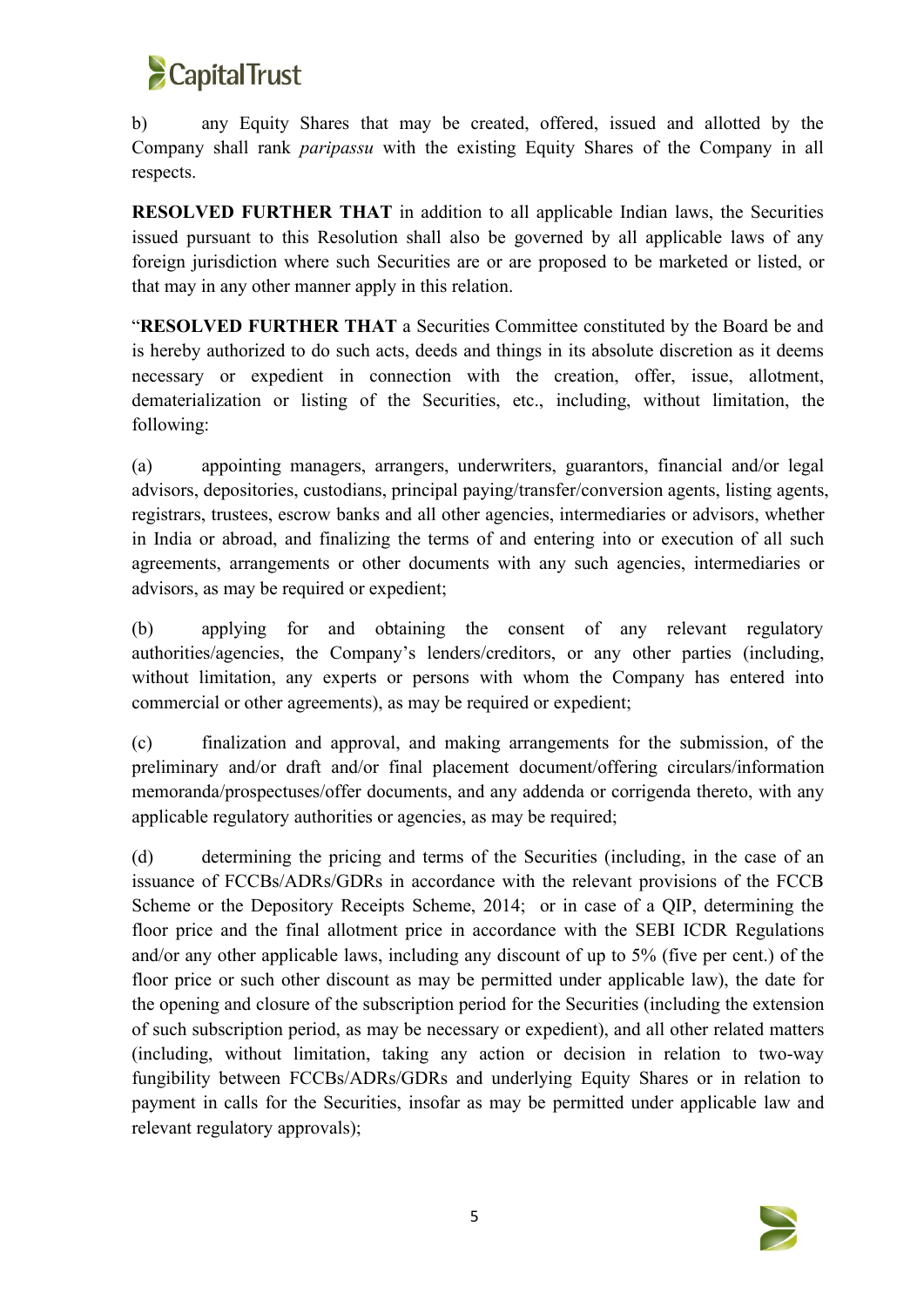

b) any Equity Shares that may be created, offered, issued and allotted by the Company shall rank *paripassu* with the existing Equity Shares of the Company in all respects.

**RESOLVED FURTHER THAT** in addition to all applicable Indian laws, the Securities issued pursuant to this Resolution shall also be governed by all applicable laws of any foreign jurisdiction where such Securities are or are proposed to be marketed or listed, or that may in any other manner apply in this relation.

"**RESOLVED FURTHER THAT** a Securities Committee constituted by the Board be and is hereby authorized to do such acts, deeds and things in its absolute discretion as it deems necessary or expedient in connection with the creation, offer, issue, allotment, dematerialization or listing of the Securities, etc., including, without limitation, the following:

(a) appointing managers, arrangers, underwriters, guarantors, financial and/or legal advisors, depositories, custodians, principal paying/transfer/conversion agents, listing agents, registrars, trustees, escrow banks and all other agencies, intermediaries or advisors, whether in India or abroad, and finalizing the terms of and entering into orexecution of all such agreements, arrangements or other documents with any such agencies, intermediaries or advisors, as may be required or expedient;

(b) applying for and obtaining the consent of any relevant regulatory authorities/agencies, the Company's lenders/creditors, or any other parties (including, without limitation, any experts or persons with whom the Company has entered into commercial or other agreements), as may be required or expedient;

(c) finalization and approval, and making arrangements for the submission, of the preliminary and/or draft and/or final placement document/offering circulars/information memoranda/prospectuses/offer documents, and any addenda or corrigenda thereto, with any applicable regulatory authorities or agencies, as may be required;

(d) determining the pricing and terms of the Securities (including, in the case of an issuance of FCCBs/ADRs/GDRs in accordance with the relevant provisions of the FCCB Scheme or the Depository Receipts Scheme, 2014; or in case of a QIP, determining the floor price and the final allotment price in accordance with the SEBI ICDR Regulations and/or any other applicable laws, including any discount of up to 5% (five per cent.) of the floor price or such other discount as may be permitted under applicable law), the date for the opening and closure of the subscription period for the Securities (including the extension of such subscription period, as may be necessary or expedient), and all other related matters (including, without limitation, taking any action or decision in relation to two-way fungibility between FCCBs/ADRs/GDRs and underlying Equity Shares or in relation to payment in calls for the Securities, insofar as may be permitted under applicable law and relevant regulatory approvals);

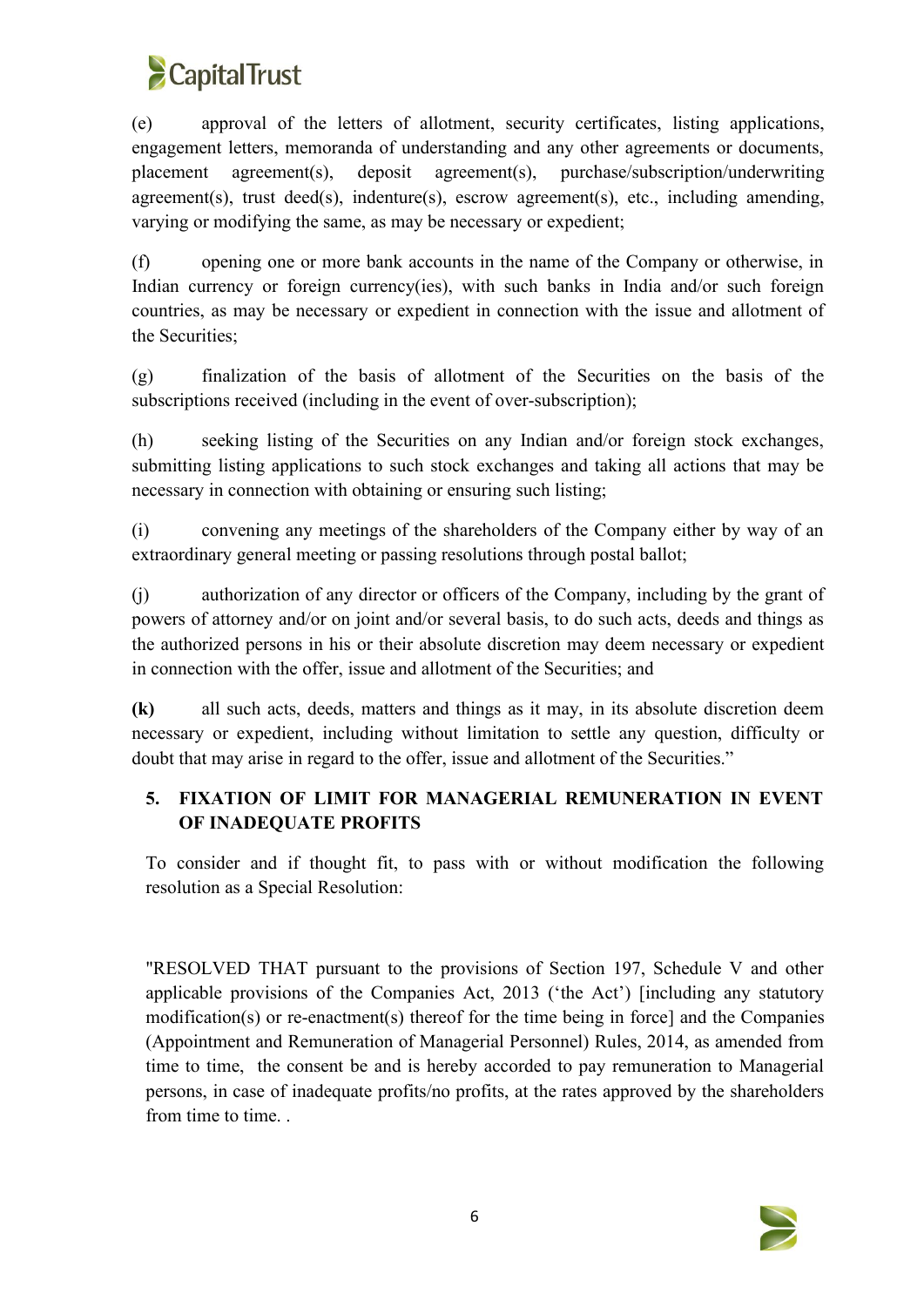

(e) approval of the letters of allotment, security certificates, listing applications, engagement letters, memoranda of understanding and any other agreements or documents, placement agreement(s), deposit agreement(s), purchase/subscription/underwriting agreement(s), trust deed(s), indenture(s), escrow agreement(s), etc., including amending, varying or modifying the same, as may be necessary or expedient;

(f) opening one or more bank accounts in the name of the Company or otherwise, in Indian currency or foreign currency(ies), with such banks in India and/or such foreign countries, as may be necessary or expedient in connection with the issue and allotment of the Securities;

(g) finalization of the basis of allotment of the Securities on the basis of the subscriptions received (including in the event of over-subscription);

(h) seeking listing of the Securities on any Indian and/or foreign stock exchanges, submitting listing applications to such stock exchanges and taking allactions that may be necessary in connection with obtaining or ensuring such listing;

(i) convening any meetings of the shareholders of the Company either by way of an extraordinary general meeting or passing resolutions through postal ballot;

(i) authorization of any director or officers of the Company, including by the grant of powers of attorney and/or on joint and/or several basis, to do such acts, deeds and things as the authorized persons in his or their absolute discretion may deem necessary or expedient in connection with the offer, issue and allotment of the Securities; and

**(k)** all such acts, deeds, matters and things as it may, in its absolute discretion deem necessary or expedient, including without limitation to settle any question, difficulty or doubt that may arise in regard to the offer, issue and allotment of the Securities."

# **5. FIXATION OF LIMIT FOR MANAGERIAL REMUNERATION IN EVENT OF INADEQUATE PROFITS**

To consider and if thought fit, to pass with or without modification the following resolution as a Special Resolution:

"RESOLVED THAT pursuant to the provisions of Section 197, Schedule V and other applicable provisions of the Companies Act, 2013 ('the Act') [including any statutory modification(s) or re-enactment(s) thereof for the time being in force] and the Companies (Appointment and Remuneration of Managerial Personnel) Rules, 2014, as amended from time to time, the consent be and is hereby accorded to pay remuneration to Managerial persons, in case of inadequate profits/no profits, at the rates approved by the shareholders from time to time. .

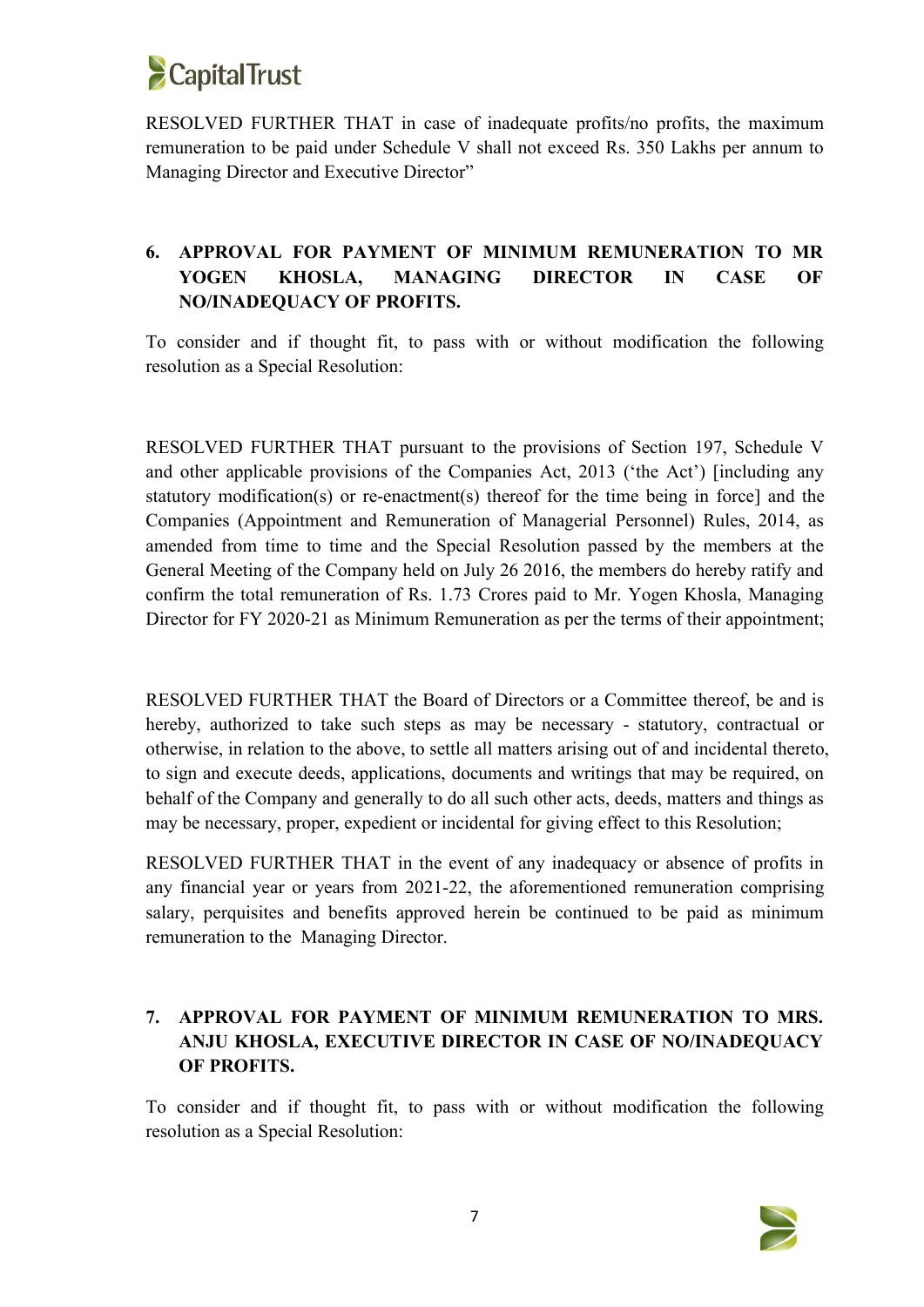

RESOLVED FURTHER THAT in case of inadequate profits/no profits, the maximum remuneration to be paid under Schedule V shall not exceed Rs. 350 Lakhs per annum to Managing Director and Executive Director"

# **6. APPROVAL FOR PAYMENT OF MINIMUM REMUNERATION TO MR YOGEN KHOSLA, MANAGING DIRECTOR IN CASE OF NO/INADEQUACY OF PROFITS.**

To consider and if thought fit, to pass with or without modification the following resolution as a Special Resolution:

RESOLVED FURTHER THAT pursuant to the provisions of Section 197, Schedule V and other applicable provisions of the Companies Act, 2013 ('the Act') [including any statutory modification(s) or re-enactment(s) thereof for the time being in force] and the Companies (Appointment and Remuneration of Managerial Personnel) Rules, 2014, as amended from time to time and the Special Resolution passed by the members at the General Meeting of the Company held on July 26 2016, the members do hereby ratify and confirm the total remuneration of Rs. 1.73 Crores paid to Mr. Yogen Khosla, Managing Director for FY 2020-21 as Minimum Remuneration as per the terms of their appointment;

RESOLVED FURTHER THAT the Board of Directors or a Committee thereof, be and is hereby, authorized to take such steps as may be necessary - statutory, contractual or otherwise, in relation to the above, to settle all matters arising out of and incidental thereto, to sign and execute deeds, applications, documents and writings that may be required, on behalf of the Company and generally to do all such other acts, deeds, matters and things as may be necessary, proper, expedient or incidental for giving effect to this Resolution;

RESOLVED FURTHER THAT in the event of any inadequacy or absence of profits in any financial year or years from 2021-22, the aforementioned remuneration comprising salary, perquisites and benefits approved herein be continued to be paid as minimum remuneration to the Managing Director.

# **7. APPROVAL FOR PAYMENT OF MINIMUM REMUNERATION TO MRS. ANJU KHOSLA, EXECUTIVE DIRECTOR IN CASE OF NO/INADEQUACY OF PROFITS.**

To consider and if thought fit, to pass with or without modification the following resolution as a Special Resolution:

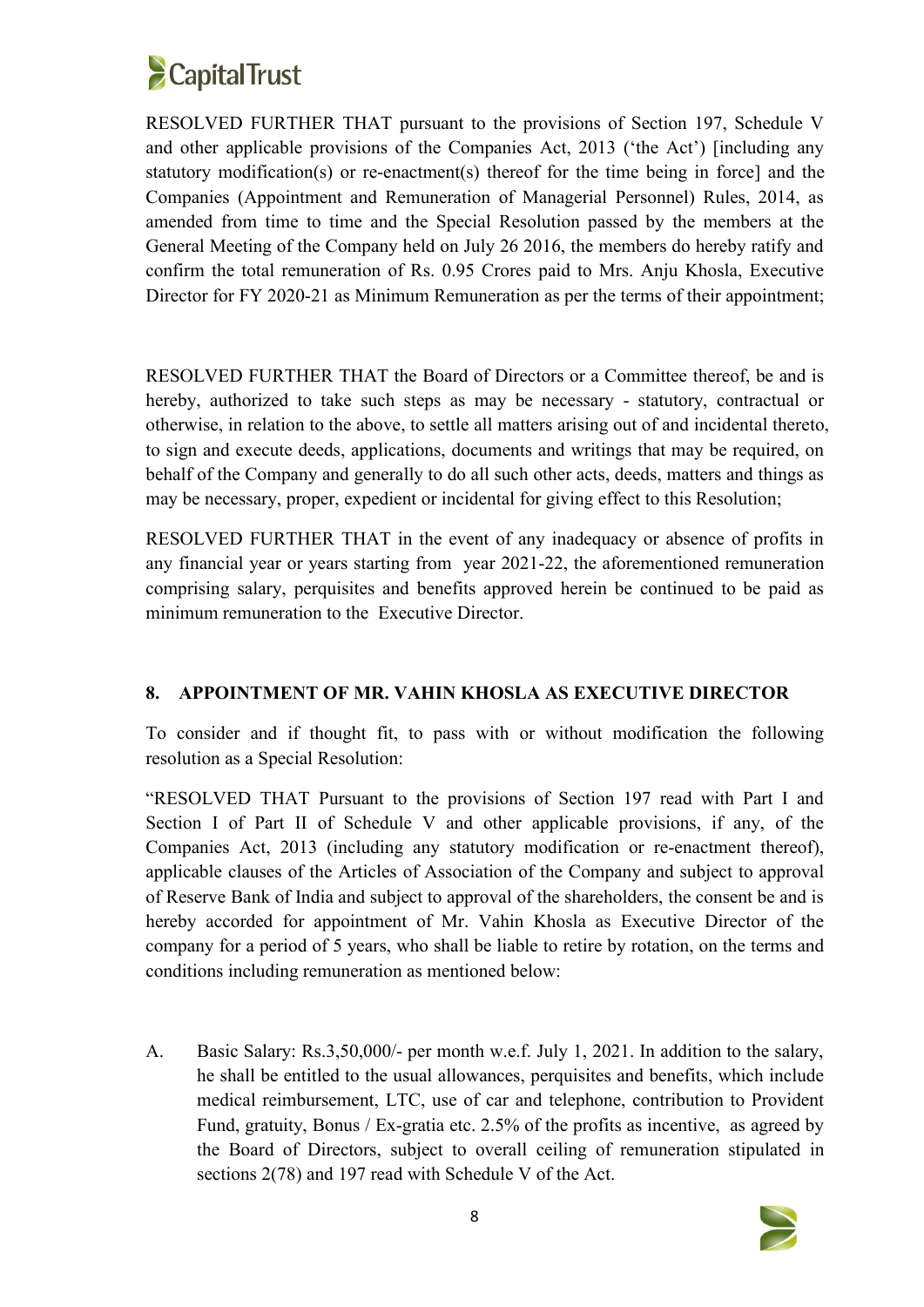

RESOLVED FURTHER THAT pursuant to the provisions of Section 197, Schedule V and other applicable provisions of the Companies Act, 2013 ('the Act') [including any statutory modification(s) or re-enactment(s) thereof for the time being in force] and the Companies (Appointment and Remuneration of Managerial Personnel) Rules, 2014, as amended from time to time and the Special Resolution passed by the members at the General Meeting of the Company held on July 26 2016, the members do hereby ratify and confirm the total remuneration of Rs. 0.95 Crores paid to Mrs. Anju Khosla, Executive Director for FY 2020-21 as Minimum Remuneration as per the terms of their appointment;

RESOLVED FURTHER THAT the Board of Directors or a Committee thereof, be and is hereby, authorized to take such steps as may be necessary - statutory, contractual or otherwise, in relation to the above, to settle all matters arising out of and incidental thereto, to sign and execute deeds, applications, documents and writings that may be required, on behalf of the Company and generally to do all such other acts, deeds, matters and things as may be necessary, proper, expedient or incidental for giving effect to this Resolution;

RESOLVED FURTHER THAT in the event of any inadequacy or absence of profits in any financial year or years starting from year 2021-22, the aforementioned remuneration comprising salary, perquisites and benefits approved herein be continued to be paid as minimum remuneration to the Executive Director.

## **8. APPOINTMENT OF MR. VAHIN KHOSLA AS EXECUTIVE DIRECTOR**

To consider and if thought fit, to pass with or without modification the following resolution as a Special Resolution:

"RESOLVED THAT Pursuant to the provisions of Section 197 read with Part I and Section I of Part II of Schedule V and other applicable provisions, if any, of the Companies Act, 2013 (including any statutory modification or re-enactment thereof), applicable clauses of the Articles of Association of the Company and subject to approval of Reserve Bank of India and subject to approval of the shareholders, the consent be and is hereby accorded for appointment of Mr. Vahin Khosla as Executive Director of the company for a period of 5 years, who shall be liable to retire by rotation, on the terms and conditions including remuneration as mentioned below:

A. Basic Salary: Rs.3,50,000/- per month w.e.f. July 1, 2021. In addition to the salary, he shall be entitled to the usual allowances, perquisites and benefits, which include medical reimbursement, LTC, use of car and telephone, contribution to Provident Fund, gratuity, Bonus / Ex-gratia etc. 2.5% of the profits as incentive, as agreed by the Board of Directors, subject to overall ceiling of remuneration stipulated in sections  $2(78)$  and 197 read with Schedule V of the Act.

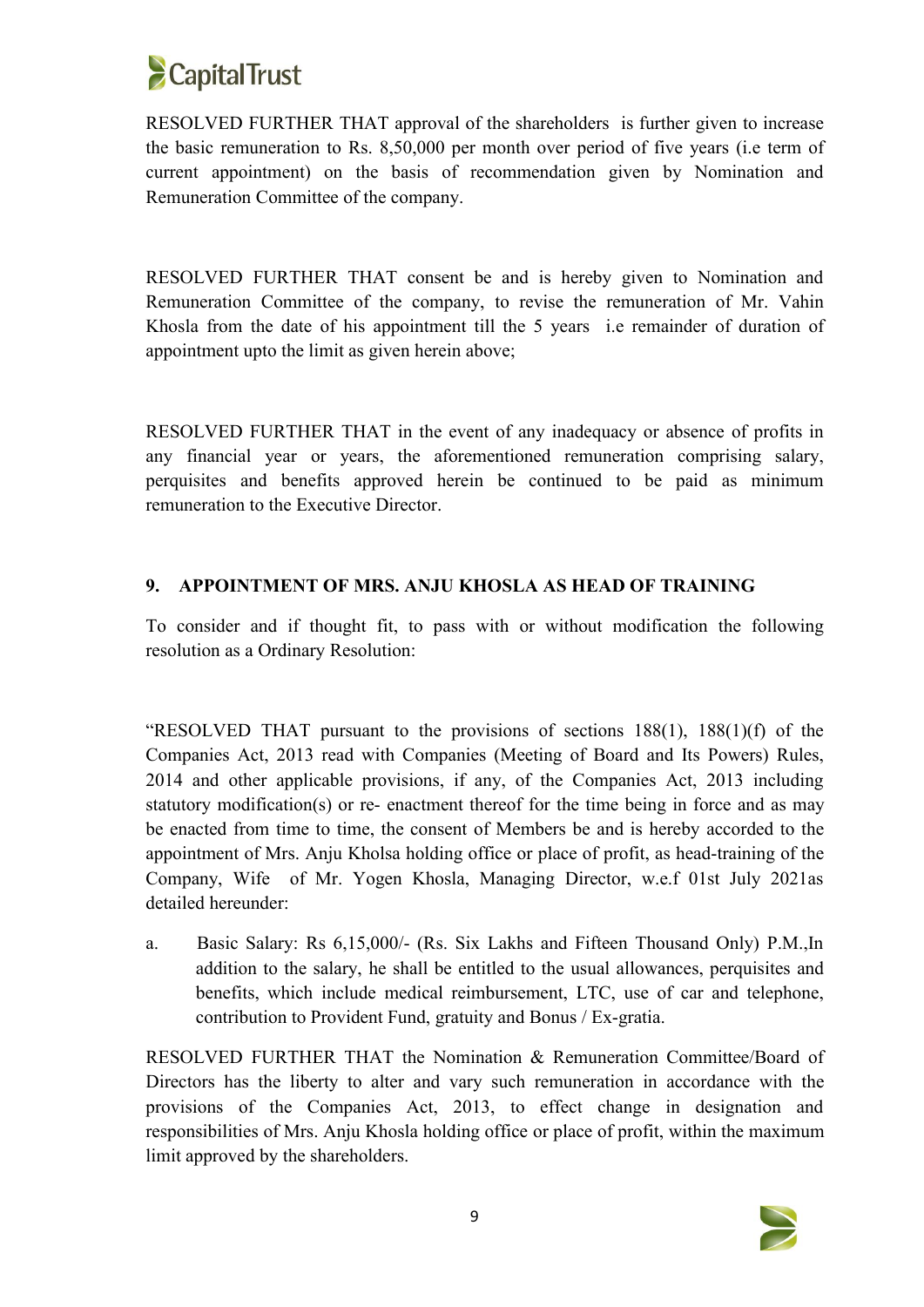

RESOLVED FURTHER THAT approval of the shareholders is further given to increase the basic remuneration to Rs. 8,50,000 per month over period of five years (i.e term of current appointment) on the basis of recommendation given by Nomination and Remuneration Committee of the company.

RESOLVED FURTHER THAT consent be and is hereby given to Nomination and Remuneration Committee of the company, to revise the remuneration of Mr. Vahin Khosla from the date of his appointment till the 5 years i.e remainder of duration of appointment upto the limit as given herein above;

RESOLVED FURTHER THAT in the event of any inadequacy or absence of profits in any financial year or years, the aforementioned remuneration comprising salary, perquisites and benefits approved herein be continued to be paid as minimum remuneration to the Executive Director.

## **9. APPOINTMENT OF MRS. ANJU KHOSLA AS HEAD OF TRAINING**

To consider and if thought fit, to pass with or without modification the following resolution as a Ordinary Resolution:

"RESOLVED THAT pursuant to the provisions of sections 188(1), 188(1)(f) of the Companies Act, 2013 read with Companies (Meeting of Board and Its Powers) Rules, 2014 and other applicable provisions, if any, of the Companies Act, 2013 including statutory modification(s) or re- enactment thereof for the time being in force and as may be enacted from time to time, the consent of Members be and is hereby accorded to the appointment of Mrs. Anju Kholsa holding office or place of profit, as head-training of the Company, Wife of Mr. Yogen Khosla, Managing Director, w.e.f 01st July 2021as detailed hereunder:

a. Basic Salary: Rs 6,15,000/- (Rs. Six Lakhs and Fifteen Thousand Only) P.M., In addition to the salary, he shall be entitled to the usual allowances, perquisites and benefits, which include medical reimbursement, LTC, use of car and telephone, contribution to Provident Fund, gratuity and Bonus / Ex-gratia.

RESOLVED FURTHER THAT the Nomination & Remuneration Committee/Board of Directors has the liberty to alter and vary such remuneration in accordance with the provisions of the Companies Act, 2013, to effect change in designation and responsibilities of Mrs. Anju Khosla holding office or place of profit, within the maximum limit approved by the shareholders.

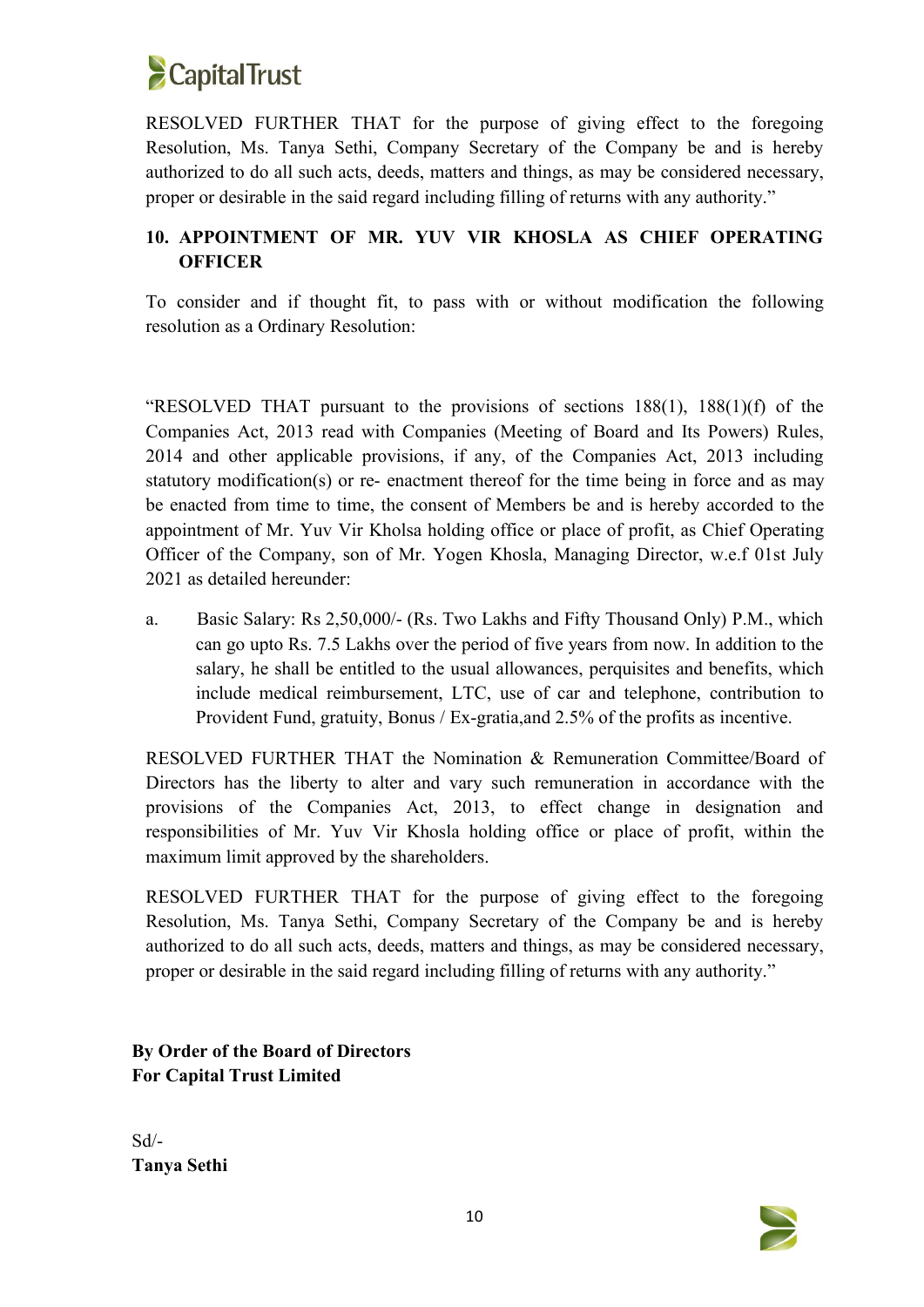

RESOLVED FURTHER THAT for the purpose of giving effect to the foregoing Resolution, Ms. Tanya Sethi, Company Secretary of the Company be and is hereby authorized to do all such acts, deeds, matters and things, as may be considered necessary, proper or desirable in the said regard including filling of returns with any authority."

# **10. APPOINTMENT OF MR. YUV VIR KHOSLA AS CHIEF OPERATING OFFICER**

To consider and if thought fit, to pass with or without modification the following resolution as a Ordinary Resolution:

"RESOLVED THAT pursuant to the provisions of sections 188(1), 188(1)(f) of the Companies Act, 2013 read with Companies (Meeting of Board and Its Powers) Rules, 2014 and other applicable provisions, if any, of the Companies Act, 2013 including statutory modification(s) or re- enactment thereof for the time being in force and as may be enacted from time to time, the consent of Members be and is hereby accorded to the appointment of Mr. Yuv Vir Kholsa holding office or place of profit, as Chief Operating Officer of the Company, son of Mr. Yogen Khosla, Managing Director, w.e.f 01st July 2021 as detailed hereunder:

a. Basic Salary: Rs 2,50,000/- (Rs. Two Lakhs and Fifty Thousand Only) P.M., which can go upto Rs. 7.5 Lakhs over the period of five years from now. In addition to the salary, he shall be entitled to the usual allowances, perquisites and benefits, which include medical reimbursement, LTC, use of car and telephone, contribution to Provident Fund, gratuity, Bonus / Ex-gratia,and 2.5% of the profits as incentive.

RESOLVED FURTHER THAT the Nomination & Remuneration Committee/Board of Directors has the liberty to alter and vary such remuneration in accordance with the provisions of the Companies Act, 2013, to effect change in designation and responsibilities of Mr. Yuv Vir Khosla holding office or place of profit, within the maximum limit approved by the shareholders.

RESOLVED FURTHER THAT for the purpose of giving effect to the foregoing Resolution, Ms. Tanya Sethi, Company Secretary of the Company be and is hereby authorized to do all such acts, deeds, matters and things, as may be considered necessary, proper or desirable in the said regard including filling of returns with any authority."

**By Order of the Board of Directors For Capital Trust Limited**

Sd/- **Tanya Sethi**

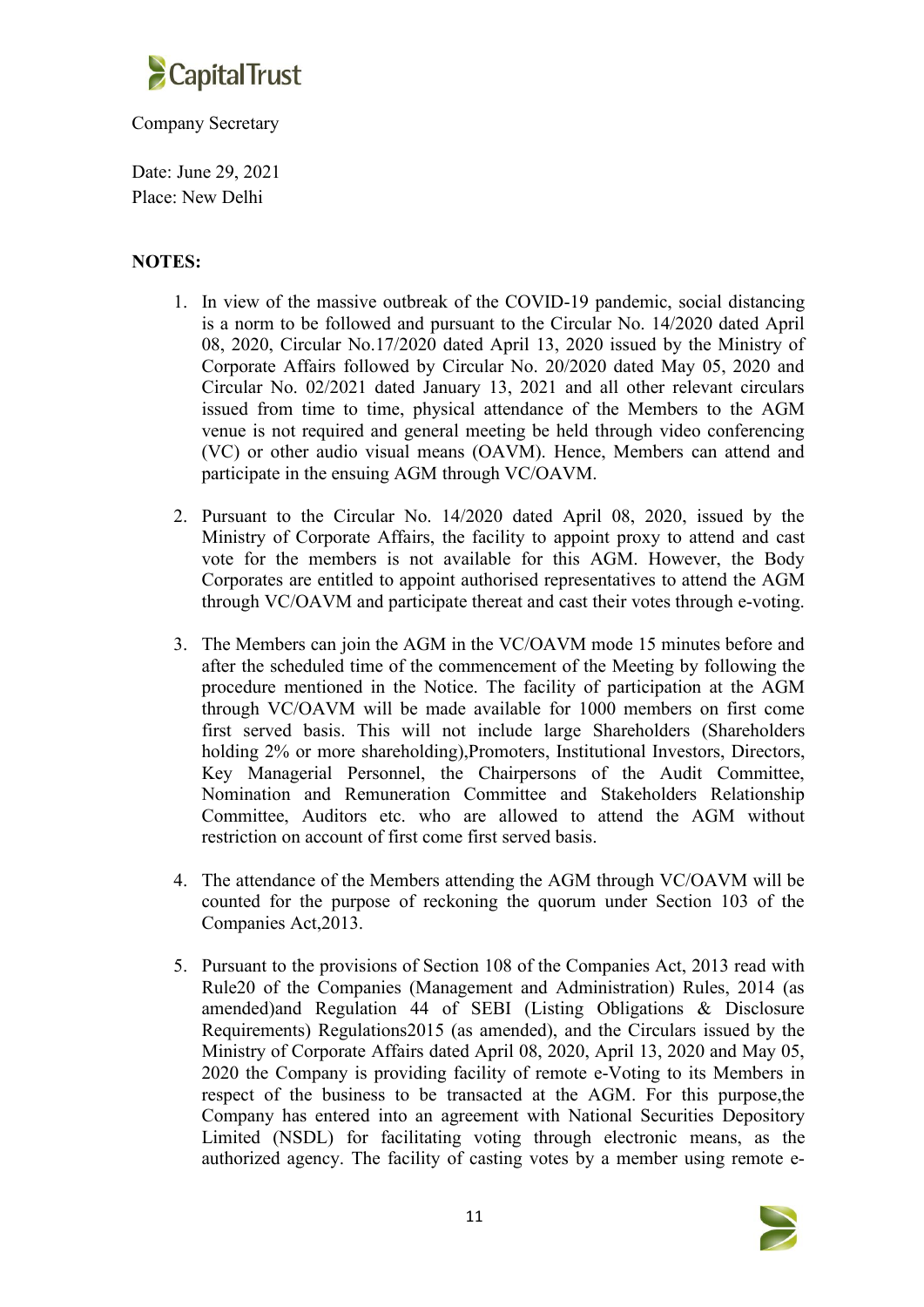

### Company Secretary

Date: June 29, 2021 Place: New Delhi

## **NOTES:**

- 1. In view of the massive outbreak of the COVID-19 pandemic, social distancing is a norm to be followed and pursuant to the Circular No. 14/2020 dated April 08, 2020, Circular No.17/2020 dated April 13, 2020 issued by the Ministry of Corporate Affairs followed by Circular No. 20/2020 dated May 05, 2020 and Circular No. 02/2021 dated January 13, 2021 and all other relevant circulars issued from time to time, physical attendance of the Members to the AGM venue is not required and general meeting be held through video conferencing (VC) or other audio visual means (OAVM). Hence, Members can attend and participate in the ensuing AGM through VC/OAVM.
- 2. Pursuant to the Circular No. 14/2020 dated April 08, 2020, issued by the Ministry of Corporate Affairs, the facility to appoint proxy to attend and cast vote for the members is not available for this AGM. However, the Body Corporates are entitled to appoint authorised representatives to attend the AGM through VC/OAVM and participate thereat and cast their votes through e-voting.
- 3. The Members can join the AGM in the VC/OAVM mode 15 minutes before and after the scheduled time of the commencement of the Meeting by following the procedure mentioned in the Notice. The facility of participation at the AGM through VC/OAVM will be made available for 1000 members on first come first served basis. This will not include large Shareholders (Shareholders holding 2% or more shareholding), Promoters, Institutional Investors, Directors, Key Managerial Personnel, the Chairpersons of the Audit Committee, Nomination and Remuneration Committee and Stakeholders Relationship Committee, Auditors etc. who are allowed to attend the AGM without restriction on account of first come first served basis.
- 4. The attendance of the Members attending the AGM through VC/OAVM will be counted for the purpose of reckoning the quorum under Section 103 of the Companies Act,2013.
- 5. Pursuant to the provisions of Section 108 of the Companies Act, 2013 read with Rule20 of the Companies (Management and Administration) Rules, 2014 (as amended)and Regulation 44 of SEBI (Listing Obligations & Disclosure Requirements) Regulations2015 (as amended), and the Circulars issued by the Ministry of Corporate Affairs dated April 08, 2020, April 13, 2020 and May 05, 2020 the Company is providing facility of remote e-Voting to its Members in respect of the business to be transacted at the AGM. For this purpose,the Company has entered into an agreement with National Securities Depository Limited (NSDL) for facilitating voting through electronic means, as the authorized agency. The facility of casting votes by a member using remote e-

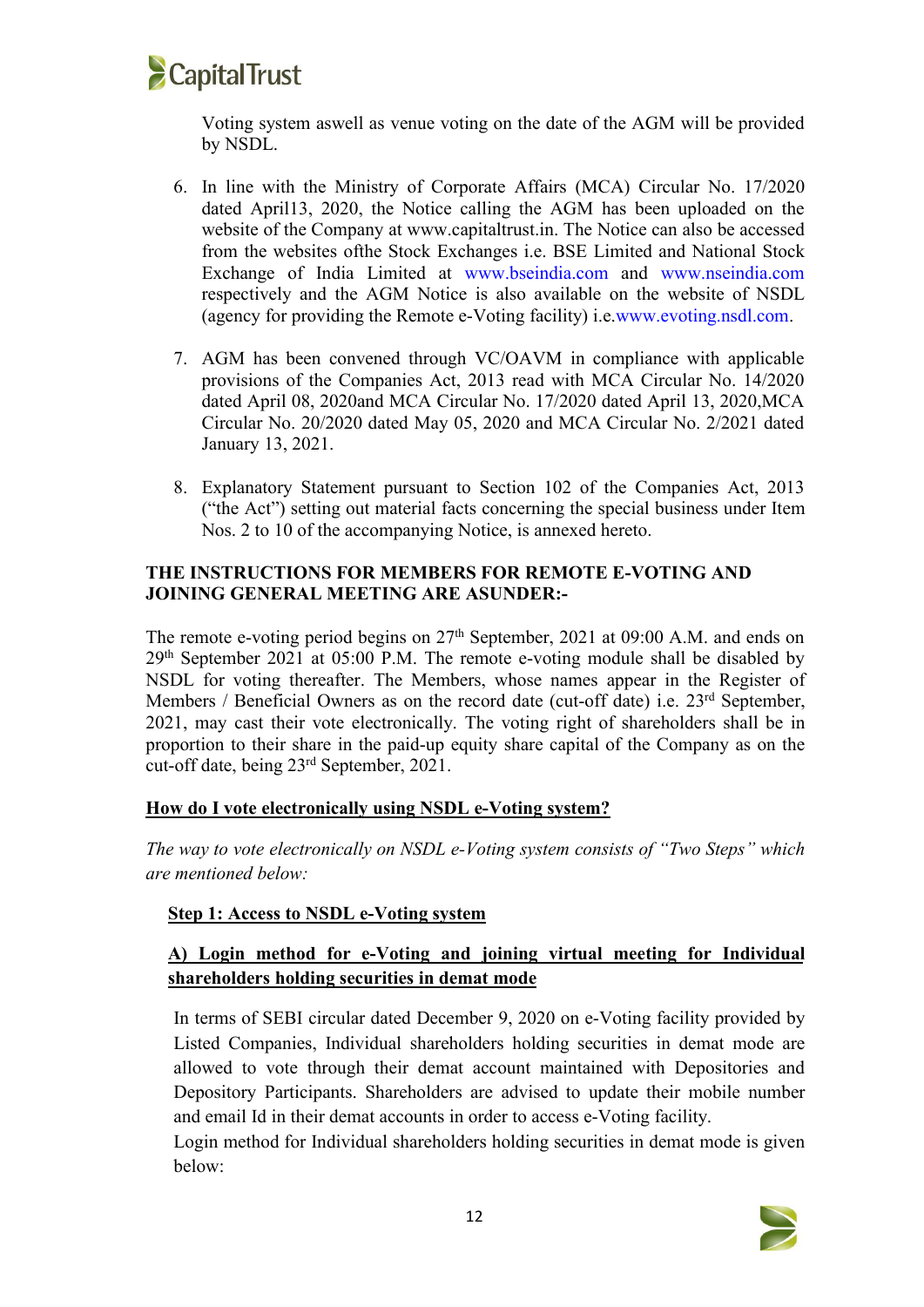

Voting system aswell as venue voting on the date of the AGM will be provided by NSDL.

- 6. In line with the Ministry of Corporate Affairs (MCA) Circular No. 17/2020 dated April13, 2020, the Notice calling the AGM has been uploaded on the website of the Company at www.capitaltrust.in. The Notice can also be accessed from the websites ofthe Stock Exchanges i.e. BSE Limited and National Stock Exchange of India Limited at www.bseindia.com and www.nseindia.com respectively and the AGM Notice is also available on the website of NSDL (agency for providing the Remote e-Voting facility) i.e.www.evoting.nsdl.com.
- 7. AGM has been convened through VC/OAVM in compliance with applicable provisions of the Companies Act, 2013 read with MCA Circular No. 14/2020 dated April 08, 2020and MCA Circular No. 17/2020 dated April 13, 2020,MCA Circular No. 20/2020 dated May 05, 2020 and MCA Circular No. 2/2021 dated January 13, 2021.
- 8. Explanatory Statement pursuant to Section 102 of the Companies Act, 2013 ("the Act") setting out material facts concerning the special business under Item Nos. 2 to 10 of the accompanying Notice, is annexed hereto.

## **THE INSTRUCTIONS FOR MEMBERS FOR REMOTE E-VOTING AND JOINING GENERAL MEETING ARE ASUNDER:-**

The remote e-voting period begins on 27<sup>th</sup> September, 2021 at 09:00 A.M. and ends on 29 th September 2021 at 05:00 P.M. The remote e-voting module shall be disabled by NSDL for voting thereafter. The Members, whose names appear in the Register of Members / Beneficial Owners as on the record date (cut-off date) i.e. 23<sup>rd</sup> September, 2021, may cast their vote electronically. The voting right of shareholders shall be in proportion to their share in the paid-up equity share capital of the Company as on the cut-off date, being 23 rd September, 2021.

## **How do I vote electronically using NSDL e-Voting system?**

*The way to vote electronically on NSDL e-Voting system consists of "Two Steps" which are mentioned below:*

## **Step 1: Access to NSDL e-Voting system**

## **A) Login method for e-Voting and joining virtual meeting for Individual shareholders holding securities in demat mode**

In terms of SEBI circular dated December 9, 2020 on e-Voting facility provided by Listed Companies, Individual shareholders holding securities in demat mode are allowed to vote through their demat account maintained with Depositories and Depository Participants. Shareholders are advised to update their mobile number and email Id in their demat accounts in order to access e-Voting facility.

Login method for Individual shareholders holding securities in demat mode is given below:

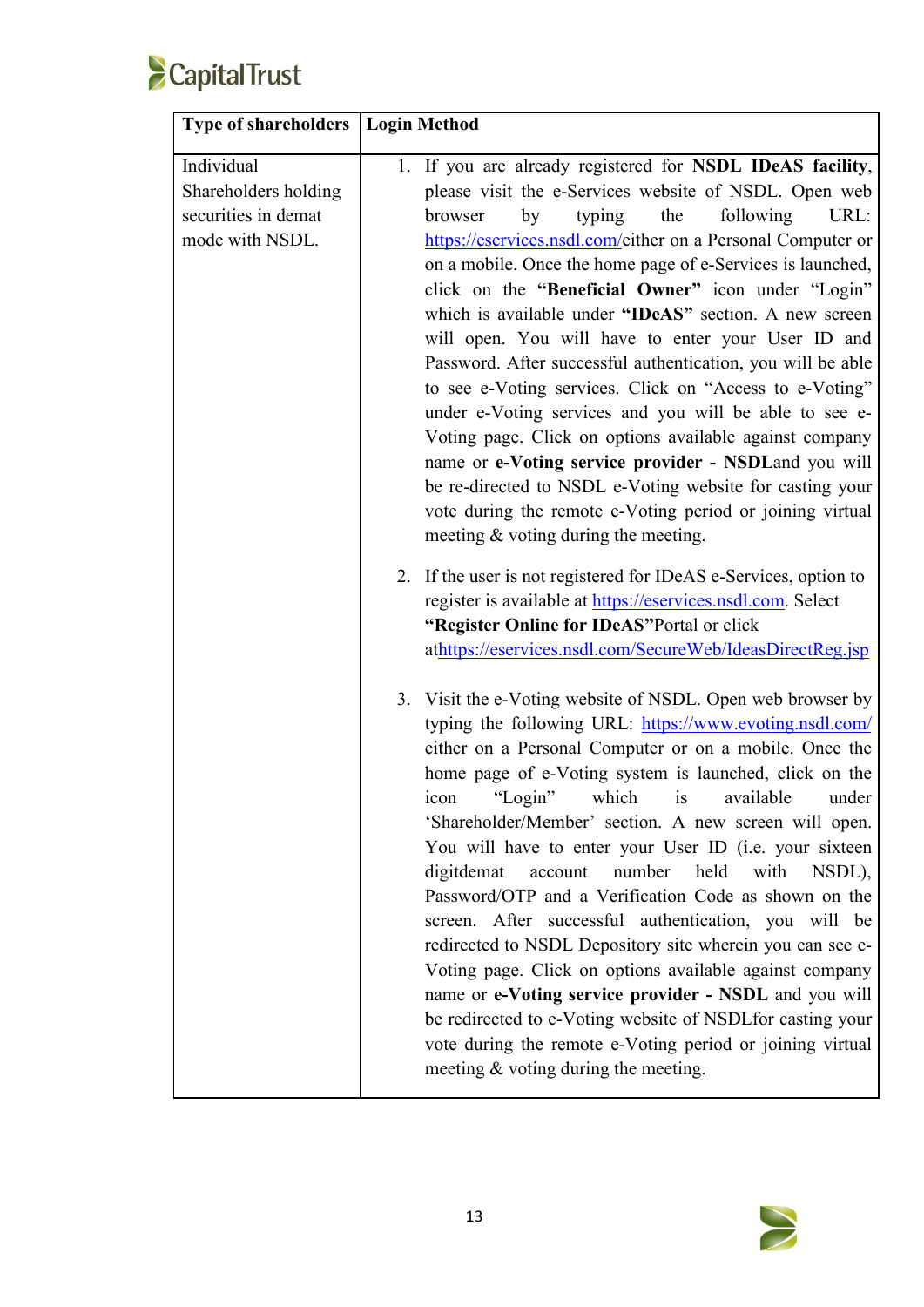

| <b>Type of shareholders   Login Method</b> |                                                                                                                  |
|--------------------------------------------|------------------------------------------------------------------------------------------------------------------|
| Individual                                 | 1. If you are already registered for NSDL IDeAS facility,                                                        |
| Shareholders holding                       | please visit the e-Services website of NSDL. Open web                                                            |
| securities in demat                        | following<br>browser<br>by<br>typing<br>the<br>URL:                                                              |
| mode with NSDL.                            | https://eservices.nsdl.com/either on a Personal Computer or                                                      |
|                                            | on a mobile. Once the home page of e-Services is launched,                                                       |
|                                            | click on the "Beneficial Owner" icon under "Login"                                                               |
|                                            | which is available under "IDeAS" section. A new screen                                                           |
|                                            | will open. You will have to enter your User ID and                                                               |
|                                            | Password. After successful authentication, you will be able                                                      |
|                                            | to see e-Voting services. Click on "Access to e-Voting"                                                          |
|                                            | under e-Voting services and you will be able to see e-                                                           |
|                                            | Voting page. Click on options available against company                                                          |
|                                            | name or e-Voting service provider - NSDLand you will<br>be re-directed to NSDL e-Voting website for casting your |
|                                            | vote during the remote e-Voting period or joining virtual                                                        |
|                                            | meeting $\&$ voting during the meeting.                                                                          |
|                                            |                                                                                                                  |
|                                            | 2. If the user is not registered for IDeAS e-Services, option to                                                 |
|                                            | register is available at https://eservices.nsdl.com. Select                                                      |
|                                            | "Register Online for IDeAS"Portal or click                                                                       |
|                                            | athttps://eservices.nsdl.com/SecureWeb/IdeasDirectReg.jsp                                                        |
|                                            | 3. Visit the e-Voting website of NSDL. Open web browser by                                                       |
|                                            | typing the following URL: https://www.evoting.nsdl.com/                                                          |
|                                            | either on a Personal Computer or on a mobile. Once the                                                           |
|                                            | home page of e-Voting system is launched, click on the                                                           |
|                                            | which<br>"Login"<br>available<br>under<br>icon<br>is                                                             |
|                                            | 'Shareholder/Member' section. A new screen will open.                                                            |
|                                            | You will have to enter your User ID (i.e. your sixteen                                                           |
|                                            | number<br>held<br>digitdemat<br>account<br>with<br>NSDL),                                                        |
|                                            | Password/OTP and a Verification Code as shown on the                                                             |
|                                            | screen. After successful authentication, you will be                                                             |
|                                            | redirected to NSDL Depository site wherein you can see e-                                                        |
|                                            | Voting page. Click on options available against company                                                          |
|                                            | name or e-Voting service provider - NSDL and you will                                                            |
|                                            | be redirected to e-Voting website of NSDLfor casting your                                                        |
|                                            | vote during the remote e-Voting period or joining virtual                                                        |
|                                            | meeting & voting during the meeting.                                                                             |
|                                            |                                                                                                                  |

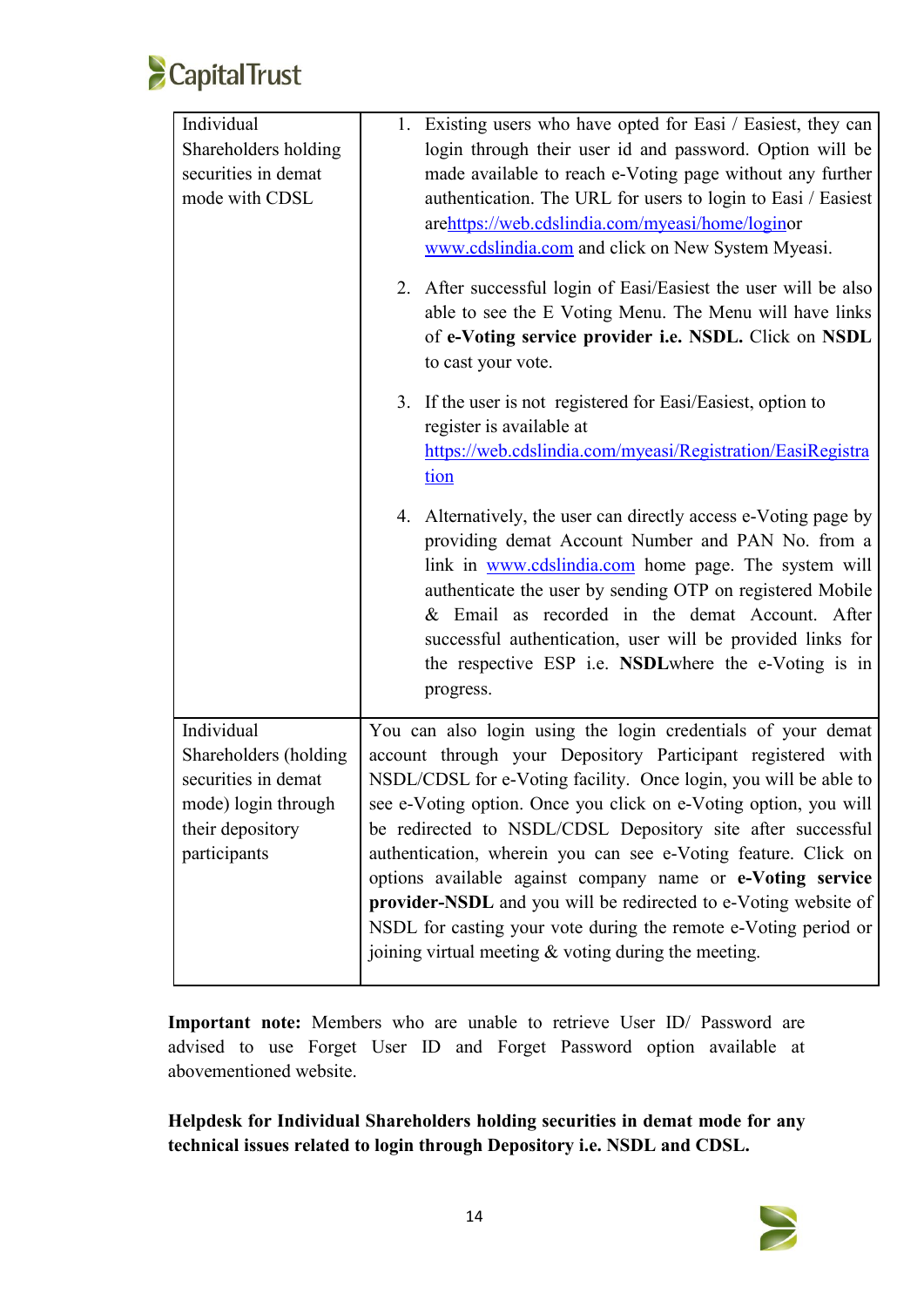

| Individual            | 1. Existing users who have opted for Easi / Easiest, they can                                                                                                                                                                      |  |  |  |
|-----------------------|------------------------------------------------------------------------------------------------------------------------------------------------------------------------------------------------------------------------------------|--|--|--|
| Shareholders holding  | login through their user id and password. Option will be                                                                                                                                                                           |  |  |  |
| securities in demat   | made available to reach e-Voting page without any further<br>authentication. The URL for users to login to Easi / Easiest<br>arehttps://web.cdslindia.com/myeasi/home/loginor<br>www.cdslindia.com and click on New System Myeasi. |  |  |  |
| mode with CDSL        |                                                                                                                                                                                                                                    |  |  |  |
|                       |                                                                                                                                                                                                                                    |  |  |  |
|                       |                                                                                                                                                                                                                                    |  |  |  |
|                       | 2. After successful login of Easi/Easiest the user will be also                                                                                                                                                                    |  |  |  |
|                       | able to see the E Voting Menu. The Menu will have links                                                                                                                                                                            |  |  |  |
|                       | of e-Voting service provider i.e. NSDL. Click on NSDL                                                                                                                                                                              |  |  |  |
|                       | to cast your vote.                                                                                                                                                                                                                 |  |  |  |
|                       | 3. If the user is not registered for Easi/Easiest, option to                                                                                                                                                                       |  |  |  |
|                       | register is available at                                                                                                                                                                                                           |  |  |  |
|                       | https://web.cdslindia.com/myeasi/Registration/EasiRegistra                                                                                                                                                                         |  |  |  |
|                       | tion                                                                                                                                                                                                                               |  |  |  |
|                       | 4. Alternatively, the user can directly access e-Voting page by                                                                                                                                                                    |  |  |  |
|                       | providing demat Account Number and PAN No. from a                                                                                                                                                                                  |  |  |  |
|                       | link in www.cdslindia.com home page. The system will                                                                                                                                                                               |  |  |  |
|                       | authenticate the user by sending OTP on registered Mobile                                                                                                                                                                          |  |  |  |
|                       | & Email as recorded in the demat Account. After                                                                                                                                                                                    |  |  |  |
|                       | successful authentication, user will be provided links for                                                                                                                                                                         |  |  |  |
|                       | the respective ESP i.e. NSDL where the e-Voting is in                                                                                                                                                                              |  |  |  |
|                       | progress.                                                                                                                                                                                                                          |  |  |  |
| Individual            | You can also login using the login credentials of your demat                                                                                                                                                                       |  |  |  |
| Shareholders (holding | account through your Depository Participant registered with                                                                                                                                                                        |  |  |  |
| securities in demat   | NSDL/CDSL for e-Voting facility. Once login, you will be able to                                                                                                                                                                   |  |  |  |
| mode) login through   | see e-Voting option. Once you click on e-Voting option, you will                                                                                                                                                                   |  |  |  |
| their depository      | be redirected to NSDL/CDSL Depository site after successful<br>authentication, wherein you can see e-Voting feature. Click on                                                                                                      |  |  |  |
| participants          |                                                                                                                                                                                                                                    |  |  |  |
|                       | options available against company name or e-Voting service                                                                                                                                                                         |  |  |  |
|                       | provider-NSDL and you will be redirected to e-Voting website of                                                                                                                                                                    |  |  |  |
|                       | NSDL for casting your vote during the remote e-Voting period or                                                                                                                                                                    |  |  |  |
|                       | joining virtual meeting $&$ voting during the meeting.                                                                                                                                                                             |  |  |  |
|                       |                                                                                                                                                                                                                                    |  |  |  |

**Important note:** Members who are unable to retrieve User ID/ Password are advised to use Forget User ID and Forget Password option available at abovementioned website.

**Helpdesk for Individual Shareholders holding securities in demat mode for any technical issues related tologin through Depository i.e. NSDL and CDSL.**

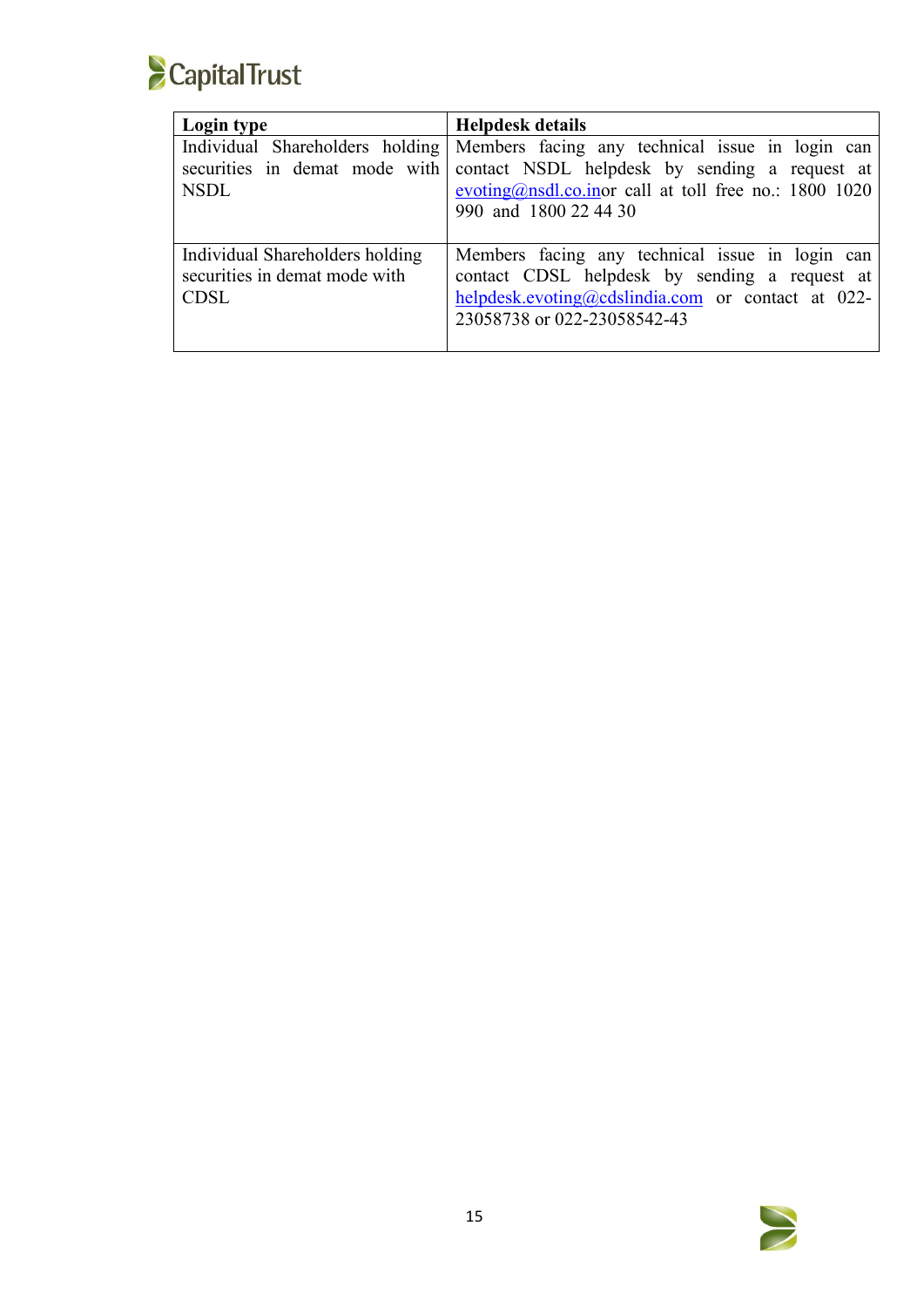

| Login type                                                                      | <b>Helpdesk details</b>                                                                                                                                                                                                                            |
|---------------------------------------------------------------------------------|----------------------------------------------------------------------------------------------------------------------------------------------------------------------------------------------------------------------------------------------------|
| <b>NSDL</b>                                                                     | Individual Shareholders holding   Members facing any technical issue in login can<br>securities in demat mode with contact NSDL helpdesk by sending a request at<br>evoting@nsdl.co.inor call at toll free no.: 1800 1020<br>990 and 1800 22 44 30 |
| Individual Shareholders holding<br>securities in demat mode with<br><b>CDSL</b> | Members facing any technical issue in login can<br>contact CDSL helpdesk by sending a request at<br>helpdesk.evoting@cdslindia.com or contact at 022-<br>23058738 or 022-23058542-43                                                               |

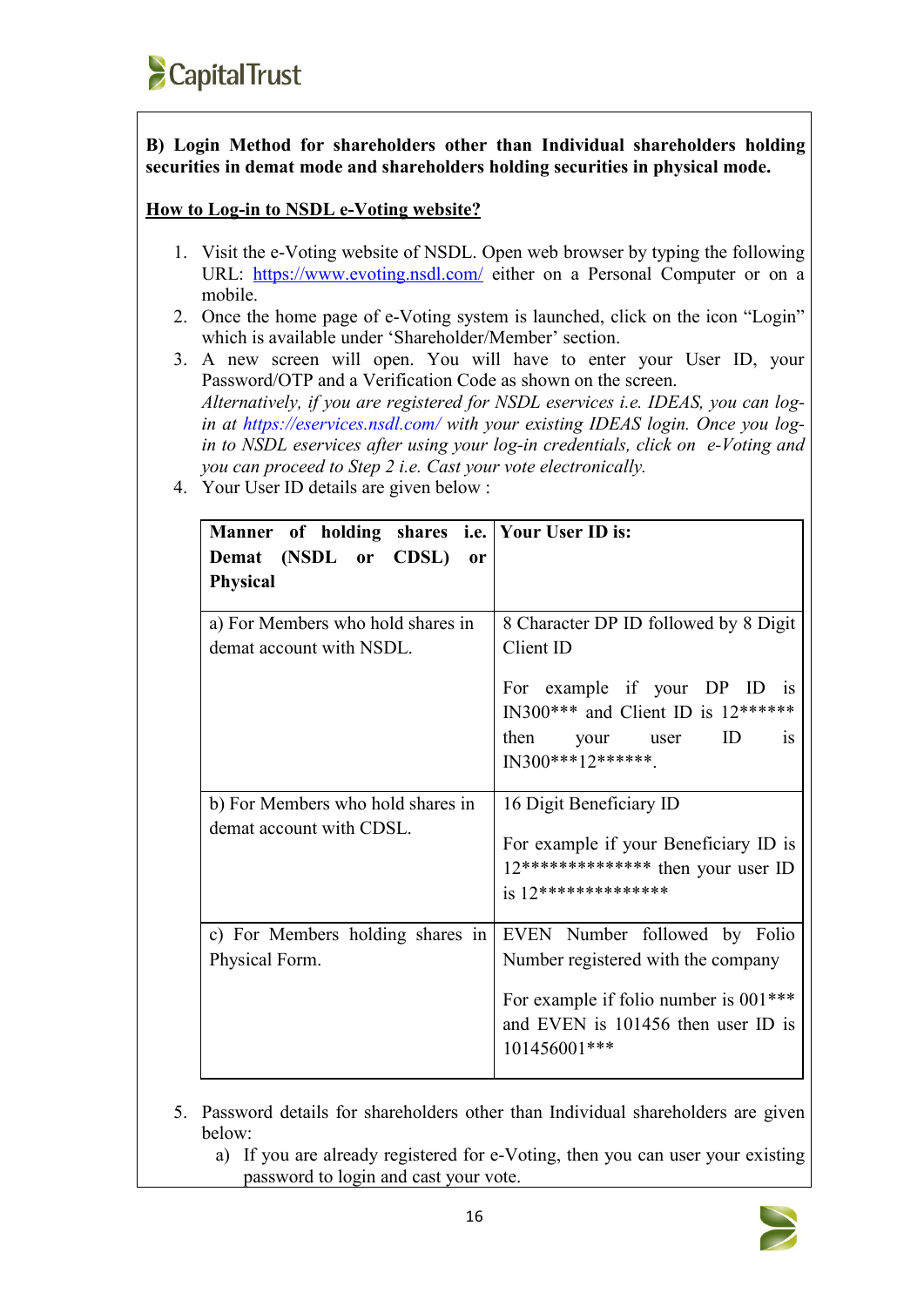**B) Login Method for shareholders other than Individual shareholders holding securities in demat mode and shareholders holding securities in physical mode.**

## **How** to Log-in to NSDL **e-Voting** website?

- 1. Visit the e-Voting website of NSDL. Open web browser by typing the following URL: <https://www.evoting.nsdl.com/> either on a Personal Computer or on a mobile.
- 2. Once the home page of e-Voting system is launched, click on the icon "Login" which is available under 'Shareholder/Member' section.
- 3. A new screen will open. You will have to enter your User ID, your Password/OTP and a Verification Code as shown on the screen. *Alternatively, if you are registered for NSDL eservices i.e. IDEAS, you can login* at <https://eservices.nsdl.com/> with your existing IDEAS login. Once you log*in to NSDL eservices after using yourlog-in credentials, click on e-Voting and you can proceed to Step 2 i.e. Cast your vote electronically.*
- 4. Your User ID details are given below :

| Manner of holding shares i.e. Your User ID is:                |                                                                                                                                                                                                 |
|---------------------------------------------------------------|-------------------------------------------------------------------------------------------------------------------------------------------------------------------------------------------------|
| Demat (NSDL or CDSL) or                                       |                                                                                                                                                                                                 |
| <b>Physical</b>                                               |                                                                                                                                                                                                 |
| a) For Members who hold shares in<br>demat account with NSDL. | 8 Character DP ID followed by 8 Digit<br>Client ID<br>For example if your DP ID is<br>IN300*** and Client ID is $12******$<br>ID<br>then<br>your<br><sup>is</sup><br>user<br>$IN300***12******$ |
| b) For Members who hold shares in<br>demat account with CDSL. | 16 Digit Beneficiary ID<br>For example if your Beneficiary ID is<br>$12****************$ then your user ID<br>$is 12**********************$                                                     |
| c) For Members holding shares in<br>Physical Form.            | EVEN Number followed by Folio<br>Number registered with the company<br>For example if folio number is 001***<br>and EVEN is 101456 then user ID is<br>101456001***                              |

- 5. Password details for shareholders other than Individual shareholders are given below:
	- a) If you are already registered for e-Voting, then you can user your existing password to login and cast your vote.

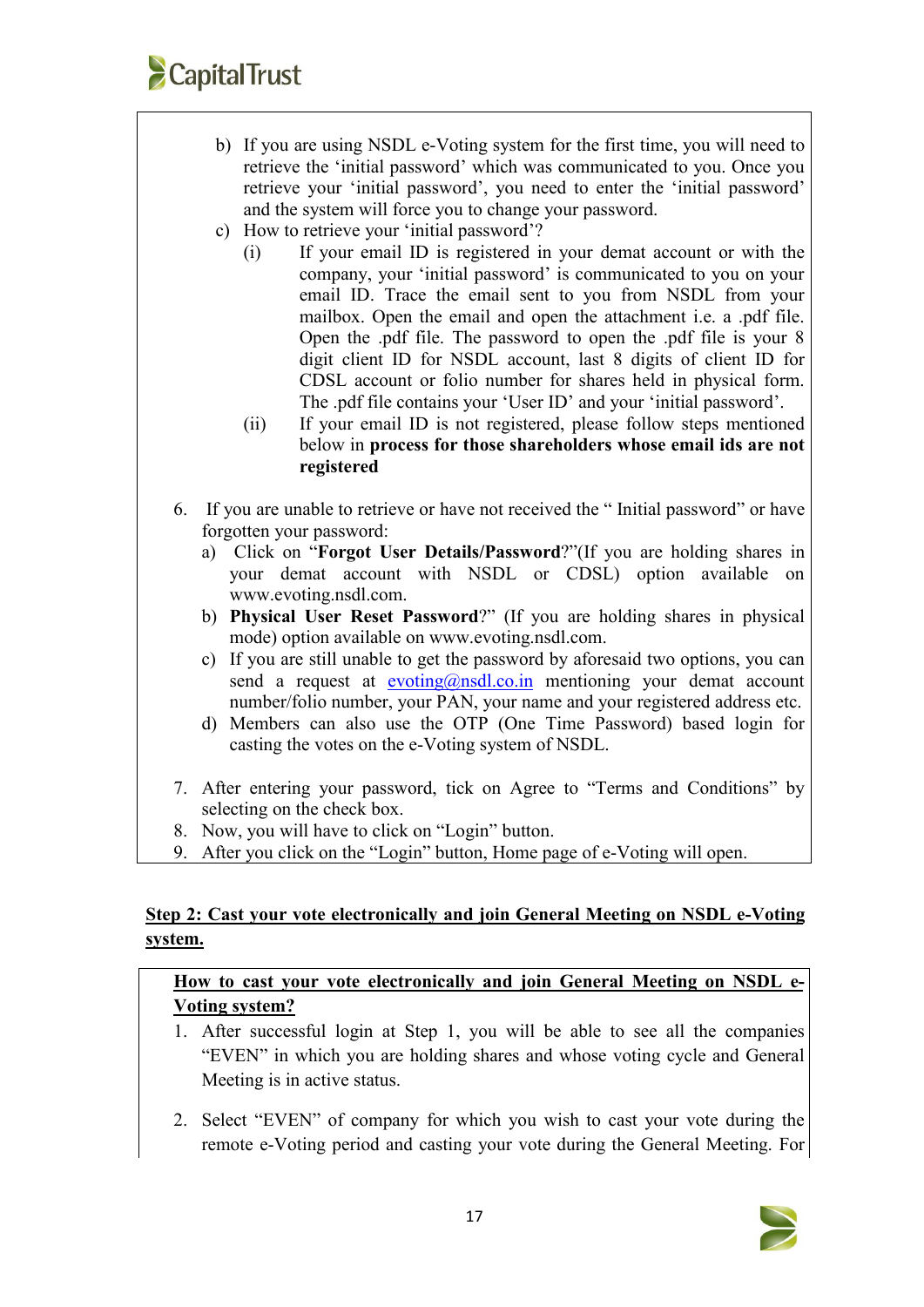

- b) If you are using NSDL e-Voting system for the first time, you will need to retrieve the 'initial password' which was communicated to you. Once you retrieve your 'initial password', you need to enter the 'initial password' and the system will force you to change your password.
- c) How to retrieve your 'initial password'?
	- (i) If your email ID is registered in your demat account or with the company, your 'initial password' is communicated to you on your email ID. Trace the email sent to you from NSDL from your mailbox. Open the email and open the attachment i.e. a .pdf file. Open the .pdf file. The password to open the .pdf file is your 8 digit client ID for NSDL account, last 8 digits of client ID for CDSL account or folio number for shares held in physical form. The .pdf file contains your 'User ID' and your 'initial password'.
	- (ii) If your email ID is not registered, please follow steps mentioned below in **process for those shareholders whose email ids are not registered**
- 6. If you are unable to retrieve or have not received the " Initial password" or have forgotten your password:
	- a) Click on "**Forgot User [Details/Password](https://www.evoting.nsdl.com/eVotingWeb/commonhtmls/NewUser.jsp)**?"(If you are holding shares in your demat account with NSDL or CDSL) option available on www.evoting.nsdl.com.
	- b) **Physical User Reset [Password](https://www.evoting.nsdl.com/eVotingWeb/commonhtmls/PhysicalUser.jsp)**?" (If you are holding shares in physical mode) option available on [www.evoting.nsdl.com](http://www.evoting.nsdl.com).
	- c) If you are still unable to get the password by aforesaid two options, you can send a request at  $evoting@nsdl.co.in$  mentioning your demat account number/folio number, your PAN, your name and your registered address etc.
	- d) Members can also use the OTP (One Time Password) based login for casting the votes on the e-Voting system of NSDL.
- 7. After entering your password, tick on Agree to "Terms and Conditions" by selecting on the check box.
- 8. Now, you will have to click on "Login" button.
- 9. After you click on the "Login" button, Home page of e-Voting will open.

## **Step 2: Cast your vote electronically and join General Meeting on NSDL e-Voting system.**

**How to cast your vote electronically and join General Meeting on NSDL e- Voting system?**

- 1. After successful login at Step 1, you will be able to see all the companies "EVEN" in which you are holding shares and whose voting cycle and General Meeting is in active status.
- 2. Select "EVEN" of company for which you wish to cast your vote during the remote e-Voting period and casting your vote during the General Meeting. For

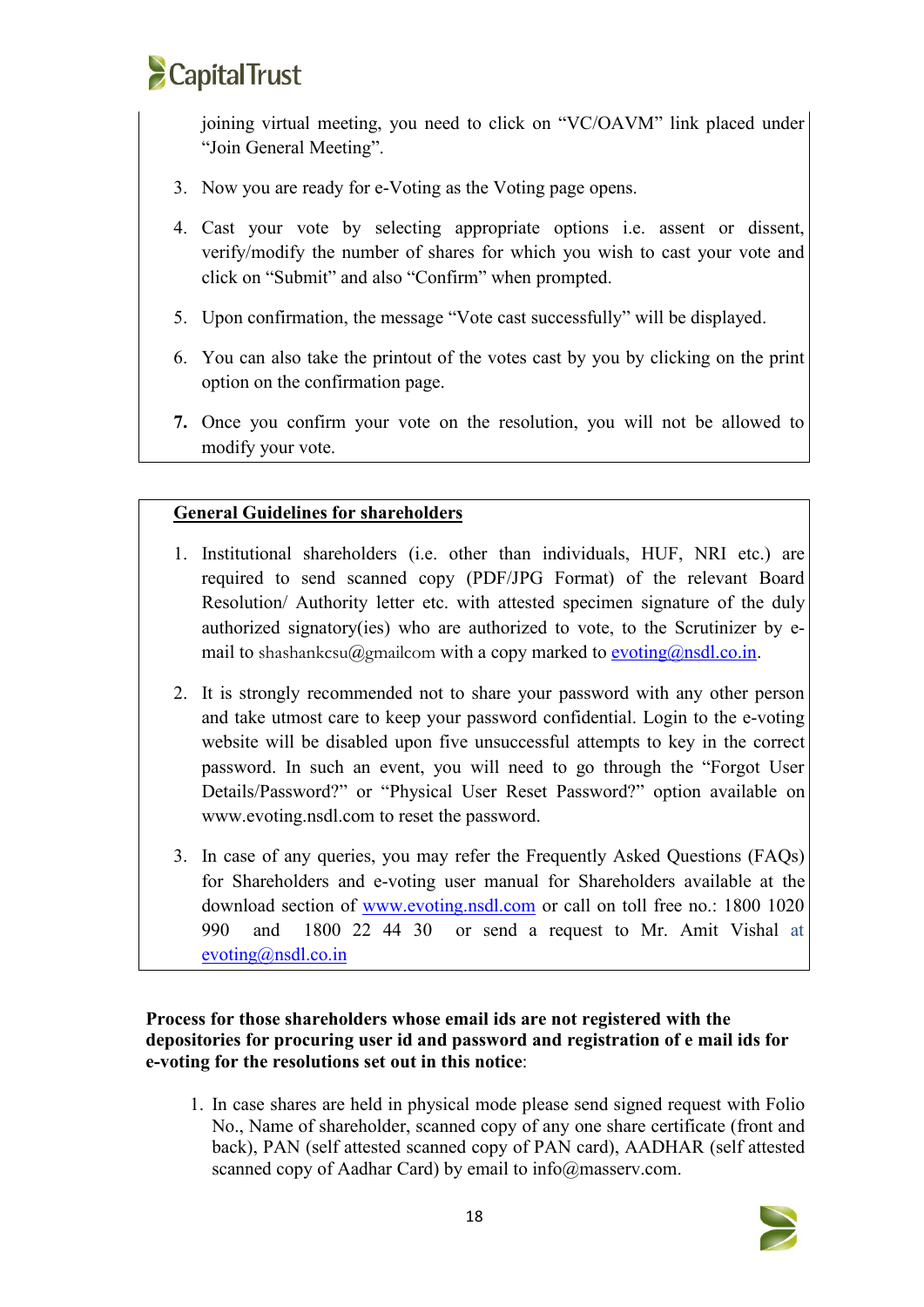# **CapitalTrust**

joining virtual meeting, you need to click on "VC/OAVM" link placed under "Join General Meeting".

- 3. Now you are ready for e-Voting as the Voting page opens.
- 4. Cast your vote by selecting appropriate options i.e. assent or dissent, verify/modify the number of shares for which you wish to cast your vote and click on "Submit" and also "Confirm" when prompted.
- 5. Upon confirmation, the message "Vote cast successfully" will be displayed.
- 6. You can also take the printout of the votes cast by you by clicking on the print option on the confirmation page.
- **7.** Once you confirm your vote on the resolution, you will not be allowed to modify your vote.

# **General Guidelines for shareholders**

- 1. Institutional shareholders (i.e. other than individuals, HUF, NRI etc.) are required to send scanned copy (PDF/JPG Format) of the relevant Board Resolution/ Authority letter etc. with attested specimen signature of the duly authorized signatory(ies) who are authorized to vote, to the Scrutinizer by e mail to shashankcsu@gmailcom with a copy marked to [evoting@nsdl.co.in.](mailto:evoting@nsdl.co.in)
- 2. It is strongly recommended not to share your password with any other person and take utmost care to keep your password confidential. Login to the e-voting website will be disabled upon five unsuccessful attempts to key in the correct password. In such an event, you will need to go through the "[Forgot](https://www.evoting.nsdl.com/eVotingWeb/commonhtmls/NewUser.jsp) User Details/Password?" or "Physical User Reset [Password?"](https://www.evoting.nsdl.com/eVotingWeb/commonhtmls/PhysicalUser.jsp) option available on www.evoting.nsdl.com to reset the password.
- 3. In case of any queries, you may refer the Frequently Asked Questions (FAQs) for Shareholders and e-voting user manual for Shareholders available at the download section of [www.evoting.nsdl.com](http://www.evoting.nsdl.com) or call on toll free no.: 1800 1020 990 and 1800 22 44 30 or send arequest to Mr. Amit Vishal at [evoting@nsdl.co.in](mailto:evoting@nsdl.co.in)

## **Process for those shareholders whose email ids are not registered with the depositories for procuring user id and password and registration of e mail ids for e-voting for the resolutions set out in this notice**:

1. In case shares are held in physical mode please send signed request with Folio No., Name of shareholder, scanned copy of any one share certificate (front and back), PAN (self attested scanned copy of PAN card), AADHAR (self attested scanned copy of Aadhar Card) by email to info@masserv.com.

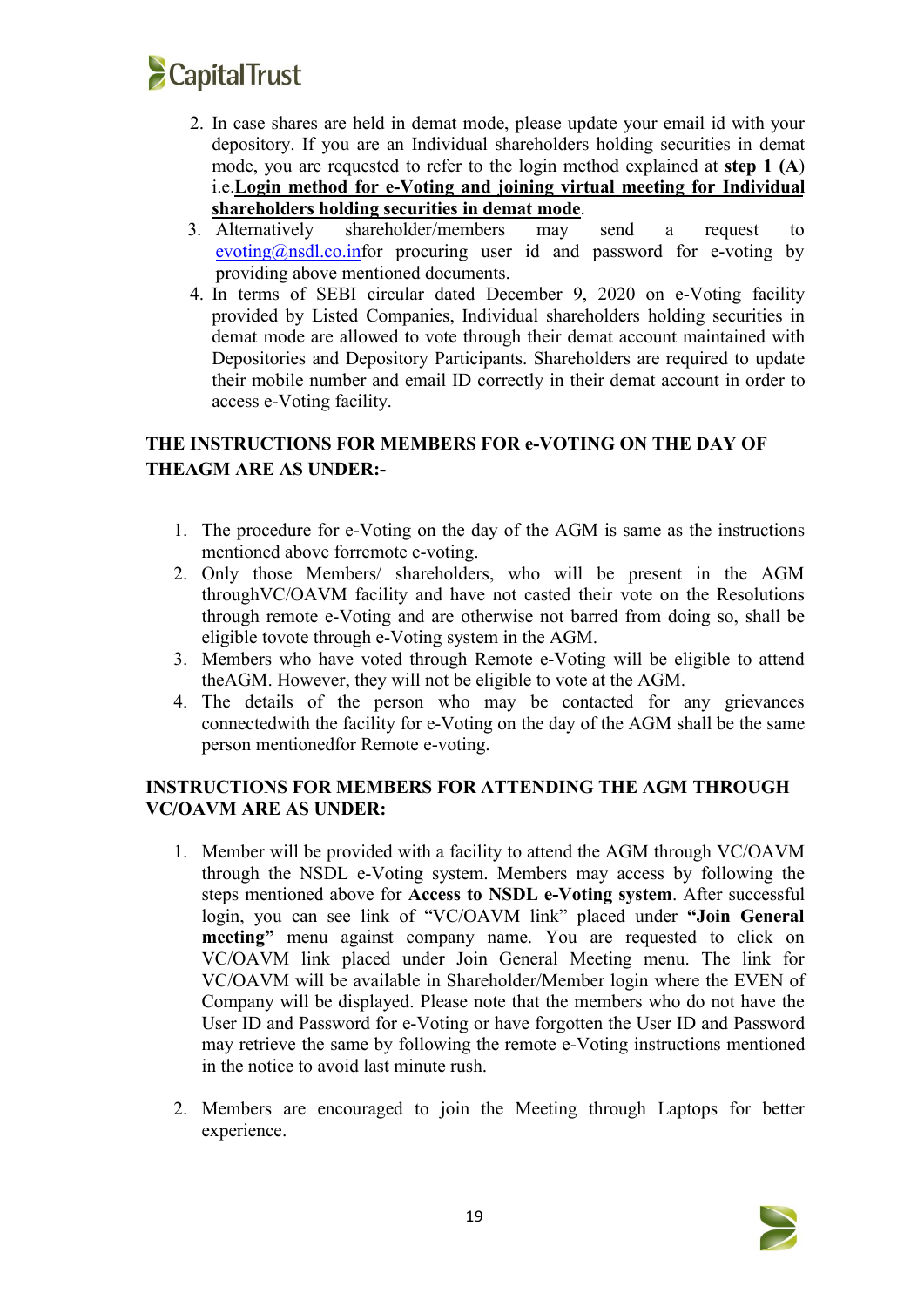

- 2. In case shares are held in demat mode, please update your email id with your depository. If you are an Individual shareholders holding securities in demat mode, you are requested to refer to the login method explained at **step 1 (A**) i.e.**Login method for e-Voting and joining virtual meeting for Individual shareholders holding securities in demat mode**.
- 3. Alternatively shareholder/members may send a request to  $evoting @nsdl.co.in$ for procuring user id and password for e-voting by providing above mentioned documents.
- 4. In terms of SEBI circular dated December 9, 2020 on e-Voting facility provided by Listed Companies, Individual shareholders holding securities in demat mode are allowed to vote through their demat account maintained with Depositories and Depository Participants. Shareholders are required to update their mobile number and email ID correctly in their demat account in order to access e-Voting facility.

# **THE INSTRUCTIONS FOR MEMBERS FOR e-VOTING ON THE DAY OF THEAGM ARE AS UNDER:-**

- 1. The procedure for e-Voting on the day of the AGM is same as the instructions mentioned above forremote e-voting.
- 2. Only those Members/ shareholders, who will be present in the AGM throughVC/OAVM facility and have not casted their vote on the Resolutions through remote e-Voting and are otherwise not barred from doing so, shall be eligible tovote through e-Voting system in the AGM.
- 3. Members who have voted through Remote e-Voting will be eligible to attend theAGM. However, they will not be eligible to vote at the AGM.
- 4. The details of the person who may be contacted for any grievances connectedwith the facility for e-Voting on the day of the AGM shall be the same person mentionedfor Remote e-voting.

## **INSTRUCTIONS FOR MEMBERS FOR ATTENDING THE AGM THROUGH VC/OAVM ARE AS UNDER:**

- 1. Member will be provided with a facility to attend the AGM through VC/OAVM through the NSDL e-Voting system. Members may access by following the steps mentioned above for **Access to NSDL e-Voting system**. After successful login, you can see link of "VC/OAVM link" placed under **"Join General meeting"** menu against company name. You are requested to click on VC/OAVM link placed under Join General Meeting menu. The link for VC/OAVM will be available in Shareholder/Member login where the EVEN of Company will be displayed. Please note that the members who do not have the User ID and Password for e-Voting or have forgotten the User ID and Password may retrieve the same by following the remote e-Voting instructions mentioned in the notice to avoid last minute rush.
- 2. Members are encouraged to join the Meeting through Laptops for better experience.

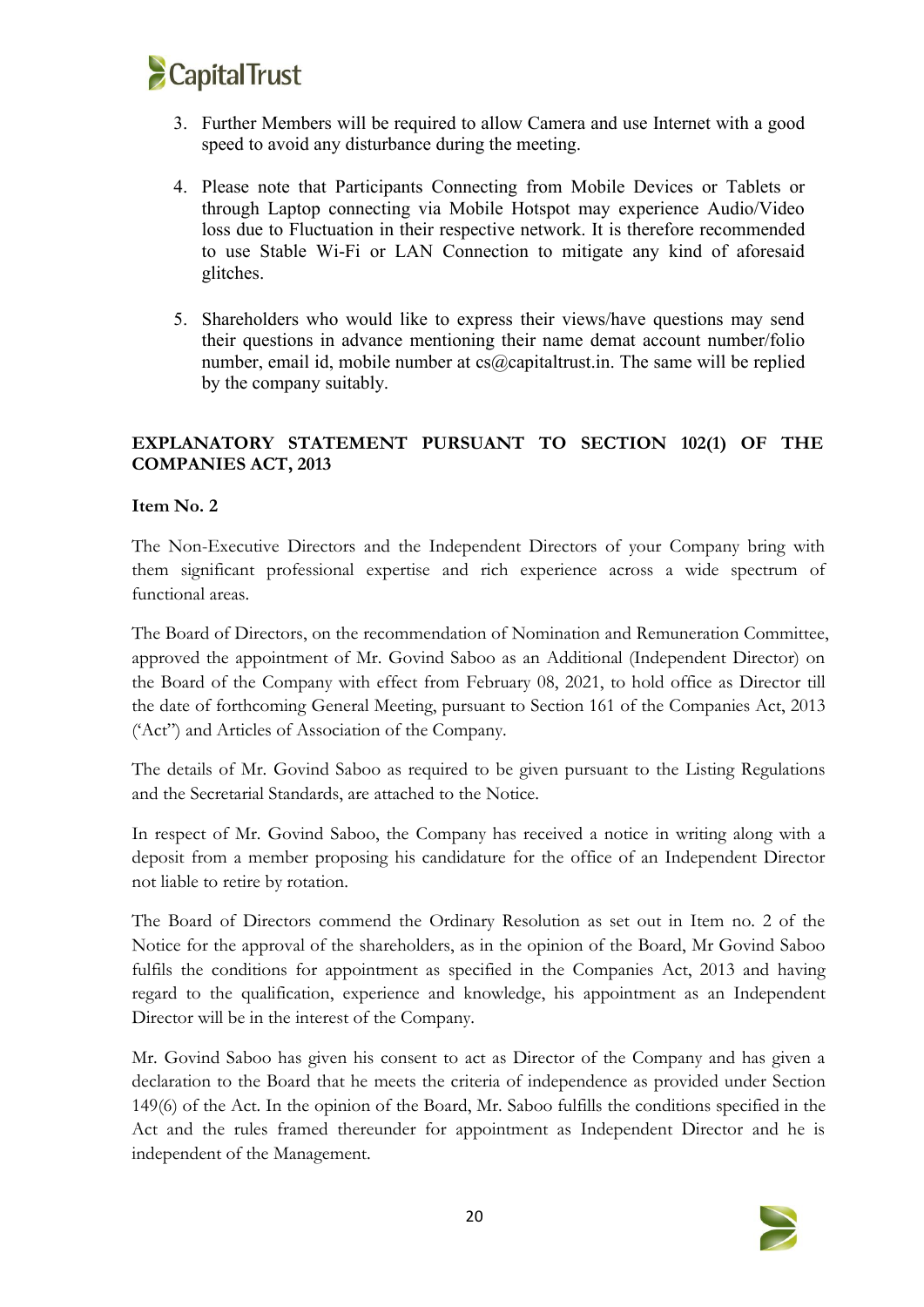

- 3. Further Members will be required to allow Camera and use Internet with a good speed to avoid any disturbance during the meeting.
- 4. Please note that Participants Connecting from Mobile Devices or Tablets or through Laptop connecting via Mobile Hotspot may experience Audio/Video loss due to Fluctuation in their respective network. It is therefore recommended to use Stable Wi-Fi or LAN Connection to mitigate any kind of aforesaid glitches.
- 5. Shareholders who would like to express their views/have questions may send their questions in advance mentioning their name demat account number/folio number, email id, mobile number at  $cs@c$  apitaltrust.in. The same will be replied by the company suitably.

## **EXPLANATORY STATEMENT PURSUANT TO SECTION 102(1) OF THE COMPANIES ACT, 2013**

### **Item No. 2**

The Non-Executive Directors and the Independent Directors of your Company bring with them significant professional expertise and rich experience across a wide spectrum of functional areas.

The Board of Directors, on the recommendation of Nomination and Remuneration Committee, approved the appointment of Mr. Govind Saboo as an Additional (Independent Director) on the Board of the Company with effect from February 08, 2021, to hold office as Director till the date of forthcoming General Meeting, pursuant to Section 161 of the Companies Act, 2013 ('Act") and Articles of Association of the Company.

The details of Mr. Govind Saboo as required to be given pursuant to the Listing Regulations and the Secretarial Standards, are attached to the Notice.

In respect of Mr. Govind Saboo, the Company has received a notice in writing along with a deposit from a member proposing his candidature for the office of an Independent Director not liable to retire by rotation.

The Board of Directors commend the Ordinary Resolution as set out in Item no. 2 of the Notice for the approval of the shareholders, as in the opinion of the Board, Mr Govind Saboo fulfils the conditions for appointment as specified in the Companies Act, 2013 and having regard to the qualification, experience and knowledge, his appointment as an Independent Director will be in the interest of the Company.

Mr. Govind Saboo has given his consent to act as Director of the Company and has given a declaration to the Board that he meets the criteria of independence as provided under Section 149(6) of the Act. In the opinion of the Board, Mr. Saboo fulfills the conditions specified in the Act and the rules framed thereunder for appointment as Independent Director and he is independent of the Management.

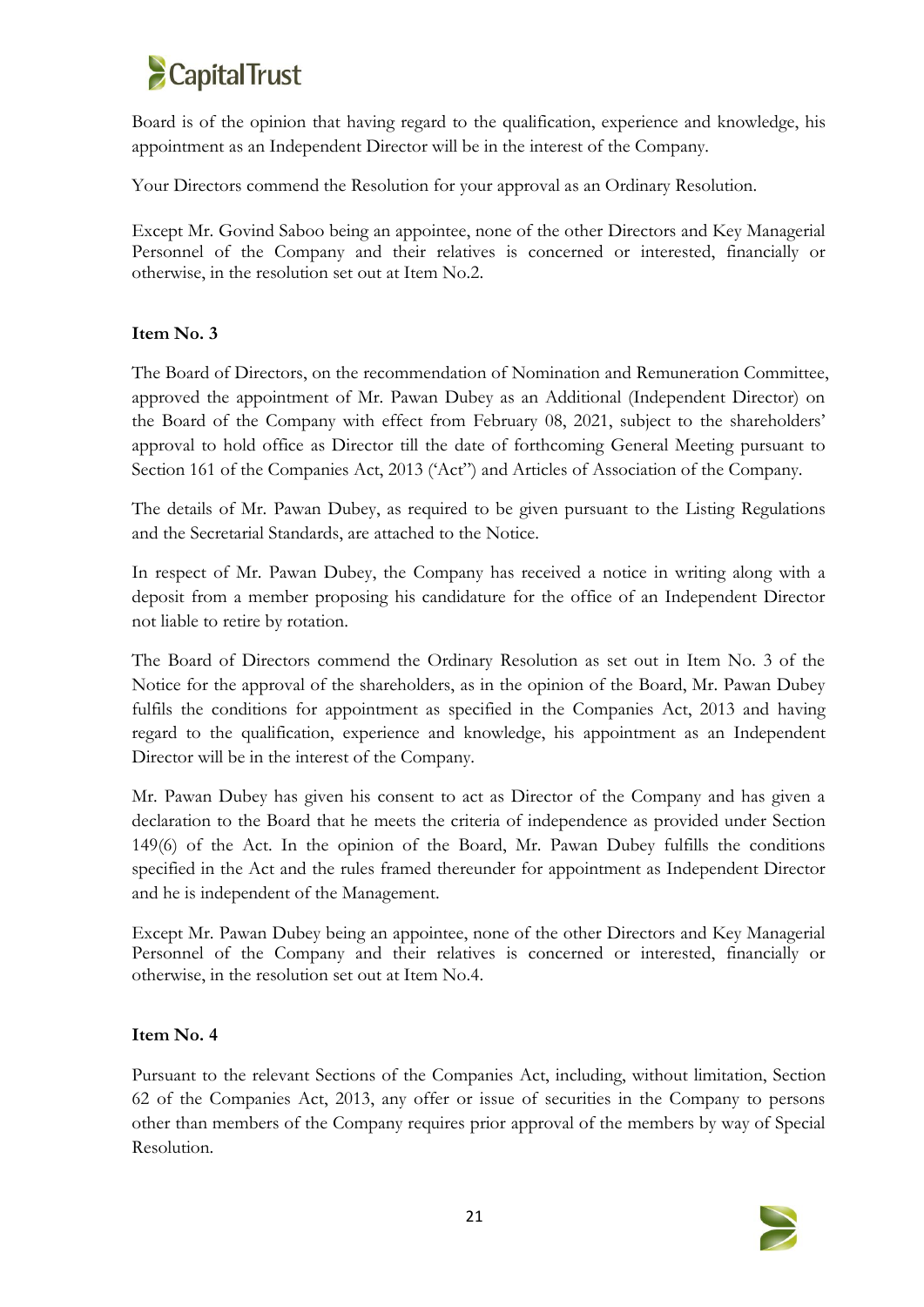

Board is of the opinion that having regard to the qualification, experience and knowledge, his appointment as an Independent Director will be in the interest of the Company.

Your Directors commend the Resolution for yourapproval as an Ordinary Resolution.

Except Mr. Govind Saboo being an appointee, none of the other Directors and Key Managerial Personnel of the Company and their relatives is concerned or interested, financially or otherwise, in the resolution set out at Item No.2.

### **Item No. 3**

The Board of Directors, on the recommendation of Nomination and Remuneration Committee, approved the appointment of Mr. Pawan Dubey as an Additional (Independent Director) on the Board of the Company with effect from February 08, 2021, subject to the shareholders' approval to hold office as Director till the date of forthcoming General Meeting pursuant to Section 161 of the Companies Act, 2013 ('Act") and Articles of Association of the Company.

The details of Mr. Pawan Dubey, as required to be given pursuant to the Listing Regulations and the Secretarial Standards, are attached to the Notice.

In respect of Mr. Pawan Dubey, the Company has received a notice in writing along with a deposit from a member proposing his candidature for the office of an Independent Director not liable to retire by rotation.

The Board of Directors commend the Ordinary Resolution as set out in Item No. 3 of the Notice for the approval of the shareholders, as in the opinion of the Board, Mr. Pawan Dubey fulfils the conditions for appointment as specified in the Companies Act, 2013 and having regard to the qualification, experience and knowledge, his appointment as an Independent Director will be in the interest of the Company.

Mr. Pawan Dubey has given his consent to act as Director of the Company and has given a declaration to the Board that he meets the criteria of independence as provided under Section 149(6) of the Act. In the opinion of the Board, Mr. Pawan Dubey fulfills the conditions specified in the Act and the rules framed thereunder for appointment as Independent Director and he is independent of the Management.

Except Mr. Pawan Dubey being an appointee, none of the other Directors and Key Managerial Personnel of the Company and their relatives is concerned or interested, financially or otherwise, in the resolution set out at Item No.4.

## **Item No. 4**

Pursuant to the relevant Sections of the Companies Act, including, without limitation, Section 62 of the Companies Act, 2013, any offer or issue of securities in the Company to persons other than members of the Company requires prior approval of the members by way of Special Resolution.

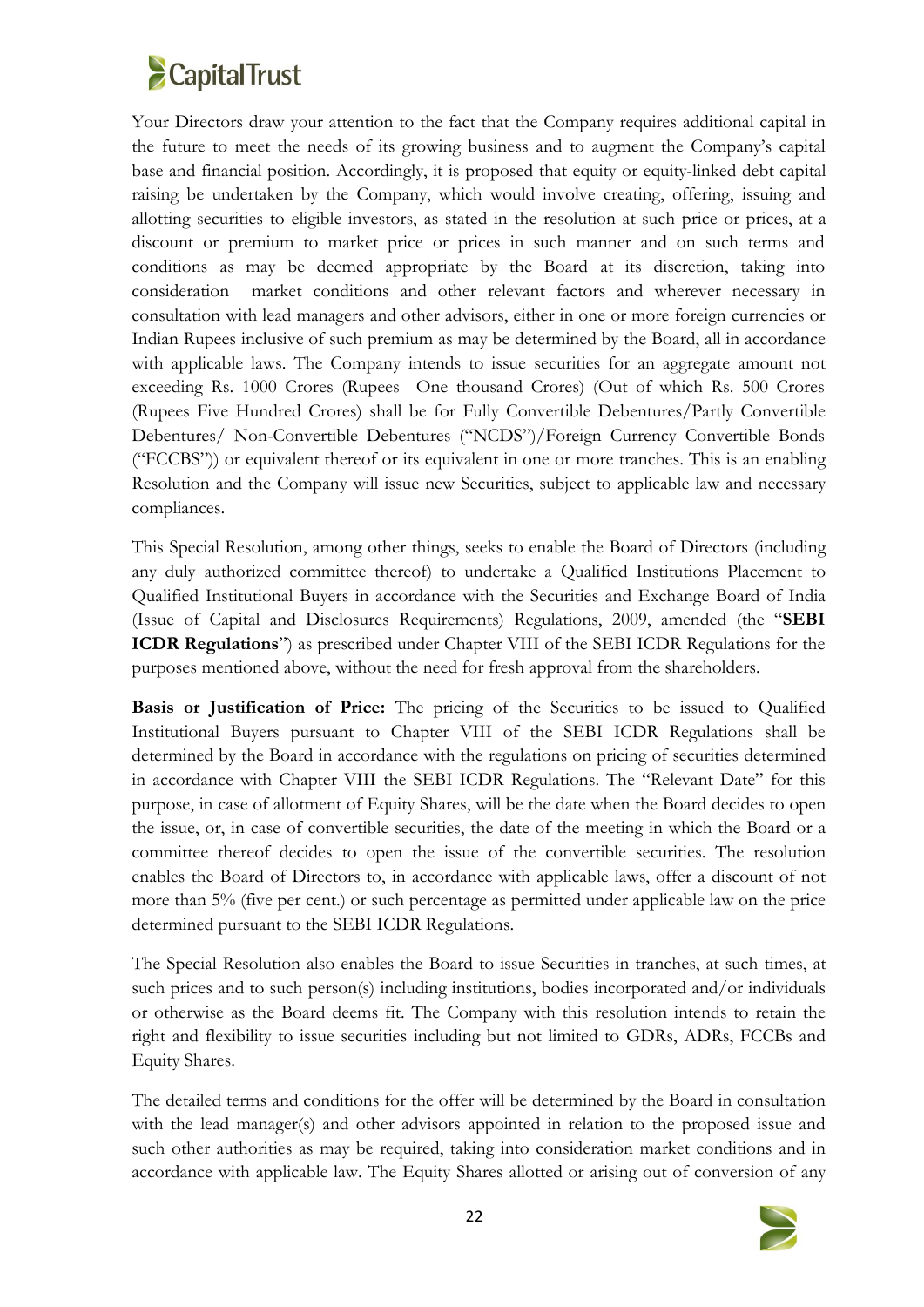

Your Directors draw your attention to the fact that the Company requires additional capital in the future to meet the needs of its growing business and to augment the Company's capital base and financial position. Accordingly, it is proposed that equity or equity-linked debt capital raising be undertaken by the Company, which would involve creating, offering, issuing and allotting securities to eligible investors, as stated in the resolution at such price or prices, at a discount or premium to market price or prices in such manner and on such terms and conditions as may be deemed appropriate by the Board at its discretion, taking into consideration market conditions and other relevant factors and wherever necessary in consultation with lead managers and other advisors, either in one or more foreign currencies or Indian Rupees inclusive of such premium as may be determined by the Board, all in accordance with applicable laws. The Company intends to issue securities for an aggregate amount not exceeding Rs. 1000 Crores (Rupees One thousand Crores) (Out of which Rs. 500 Crores (Rupees Five Hundred Crores) shall be for Fully Convertible Debentures/Partly Convertible Debentures/ Non-Convertible Debentures ("NCDS")/Foreign Currency Convertible Bonds ("FCCBS")) or equivalent thereof or its equivalent in one or more tranches.This is an enabling Resolution and the Company will issue new Securities, subject to applicable law and necessary compliances.

This Special Resolution, among other things, seeks to enable the Board of Directors (including any duly authorized committee thereof) to undertake a Qualified Institutions Placement to Qualified Institutional Buyers in accordance with the Securities and Exchange Board of India (Issue of Capital and Disclosures Requirements) Regulations, 2009, amended (the "**SEBI ICDR Regulations**") as prescribed under Chapter VIII of the SEBI ICDR Regulations for the purposes mentioned above, without the need for fresh approval from the shareholders.

**Basis** or Justification of Price: The pricing of the Securities to be issued to Qualified Institutional Buyers pursuant to Chapter VIII of the SEBI ICDR Regulations shall be determined by the Board in accordance with the regulations on pricing of securities determined in accordance with Chapter VIII the SEBI ICDR Regulations. The "Relevant Date" for this purpose, in case of allotment of Equity Shares, will be the date when the Board decides to open the issue, or, in case of convertible securities, the date of the meeting in which the Board or a committee thereof decides to open the issue of the convertible securities. The resolution enables the Board of Directors to, in accordance with applicable laws, offer a discount of not more than 5% (five per cent.) or such percentage as permitted under applicable law on the price determined pursuant to the SEBI ICDR Regulations.

The Special Resolution also enables the Board to issue Securities in tranches, at such times, at such prices and to such person(s) including institutions, bodies incorporated and/or individuals or otherwise as the Board deems fit. The Company with this resolution intends to retain the right and flexibility to issue securities including but not limited to GDRs, ADRs, FCCBs and Equity Shares.

The detailed terms and conditions for the offer will be determined by the Board in consultation with the lead manager(s) and other advisors appointed in relation to the proposed issue and such other authorities as may be required, taking into consideration market conditions and in accordance with applicable law. The Equity Shares allotted or arising out of conversion of any

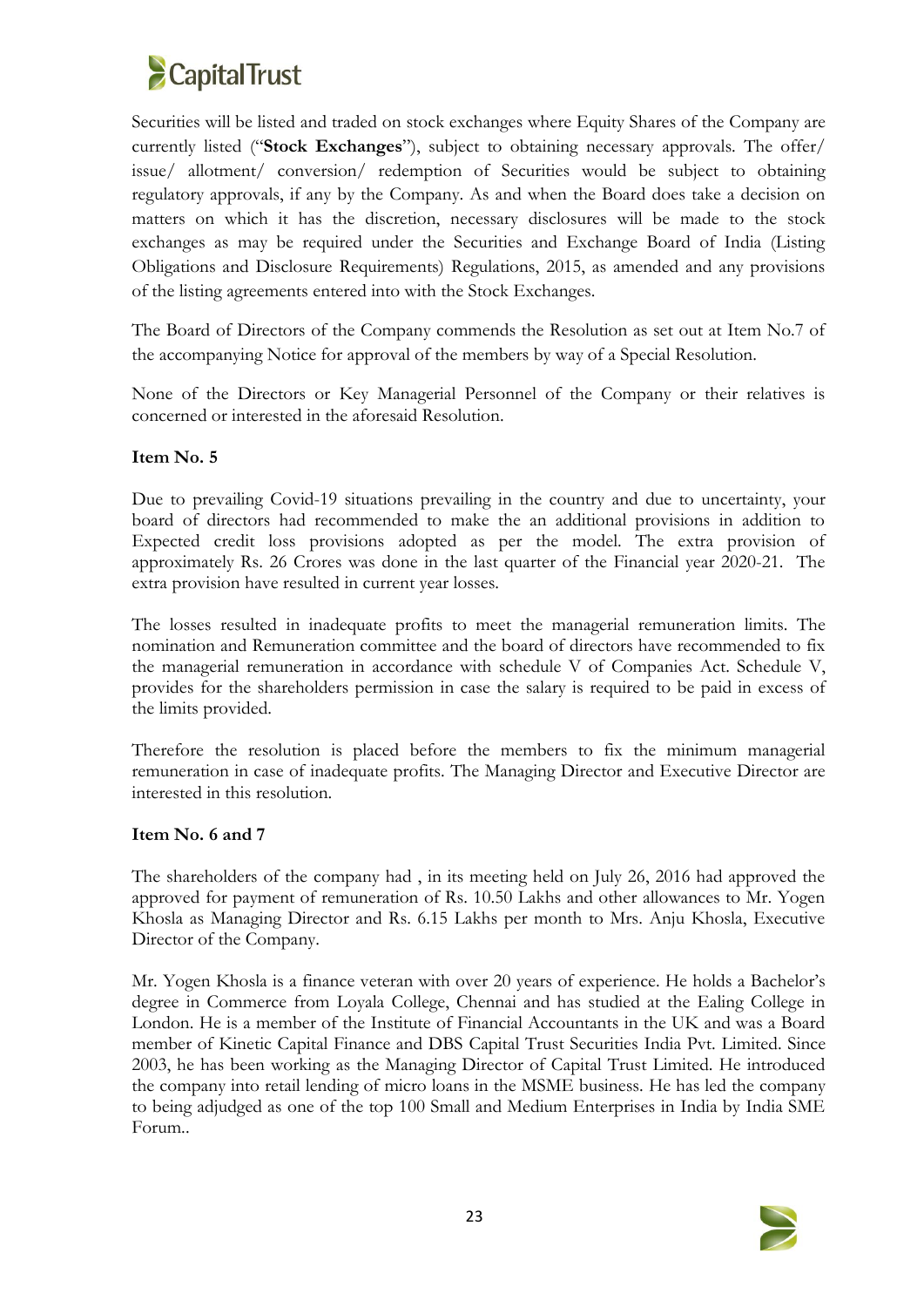

Securities will be listed and traded on stock exchanges where Equity Shares of the Company are currently listed ("**Stock Exchanges**"), subject to obtaining necessary approvals. The offer/ issue/ allotment/ conversion/ redemption of Securities would be subject to obtaining regulatory approvals, if any by the Company. As and when the Board does take a decision on matters on which it has the discretion, necessary disclosures will be made to the stock exchanges as may be required under the Securities and Exchange Board of India (Listing Obligations and Disclosure Requirements) Regulations, 2015, as amended and any provisions of the listing agreements entered into with the Stock Exchanges.

The Board of Directors of the Company commends the Resolution as setout at Item No.7 of the accompanying Notice for approval of the members by way of a Special Resolution.

None of the Directors or Key Managerial Personnel of the Company or their relatives is concerned or interested in the aforesaid Resolution.

### **Item No. 5**

Due to prevailing Covid-19 situations prevailing in the country and due to uncertainty, your board of directors had recommended to make the an additional provisions in addition to Expected credit loss provisions adopted as per the model. The extra provision of approximately Rs. 26 Crores was done in the last quarter of the Financial year 2020-21. The extra provision have resulted in current year losses.

The losses resulted in inadequate profits to meet the managerial remuneration limits. The nomination and Remuneration committee and the board of directors have recommended to fix the managerial remuneration in accordance with schedule V of Companies Act. Schedule V, provides for the shareholders permission in case the salary is required to be paid in excessof the limits provided.

Therefore the resolution is placed before the members to fix the minimum managerial remuneration in case of inadequate profits. The Managing Director and Executive Director are interested in this resolution.

### **Item No. 6 and 7**

The shareholders of the company had , in its meeting held on July26, 2016 had approved the approved for payment of remuneration of Rs. 10.50 Lakhs and other allowances to Mr.Yogen Khosla as Managing Director and Rs. 6.15 Lakhs per month to Mrs. Anju Khosla, Executive Director of the Company.

Mr. Yogen Khosla is a finance veteran with over 20 years of experience. He holds a Bachelor's degree in Commerce from Loyala College, Chennai and has studied at the Ealing College in London. He is a member of the Institute of Financial Accountants in the UK and was a Board member of Kinetic Capital Finance and DBS Capital Trust Securities India Pvt. Limited. Since 2003, he has been working as the Managing Director of Capital Trust Limited. He introduced the company into retail lending of micro loans in the MSME business. He has led the company to being adjudged as one of the top 100 Small and Medium Enterprises in India by India SME Forum..

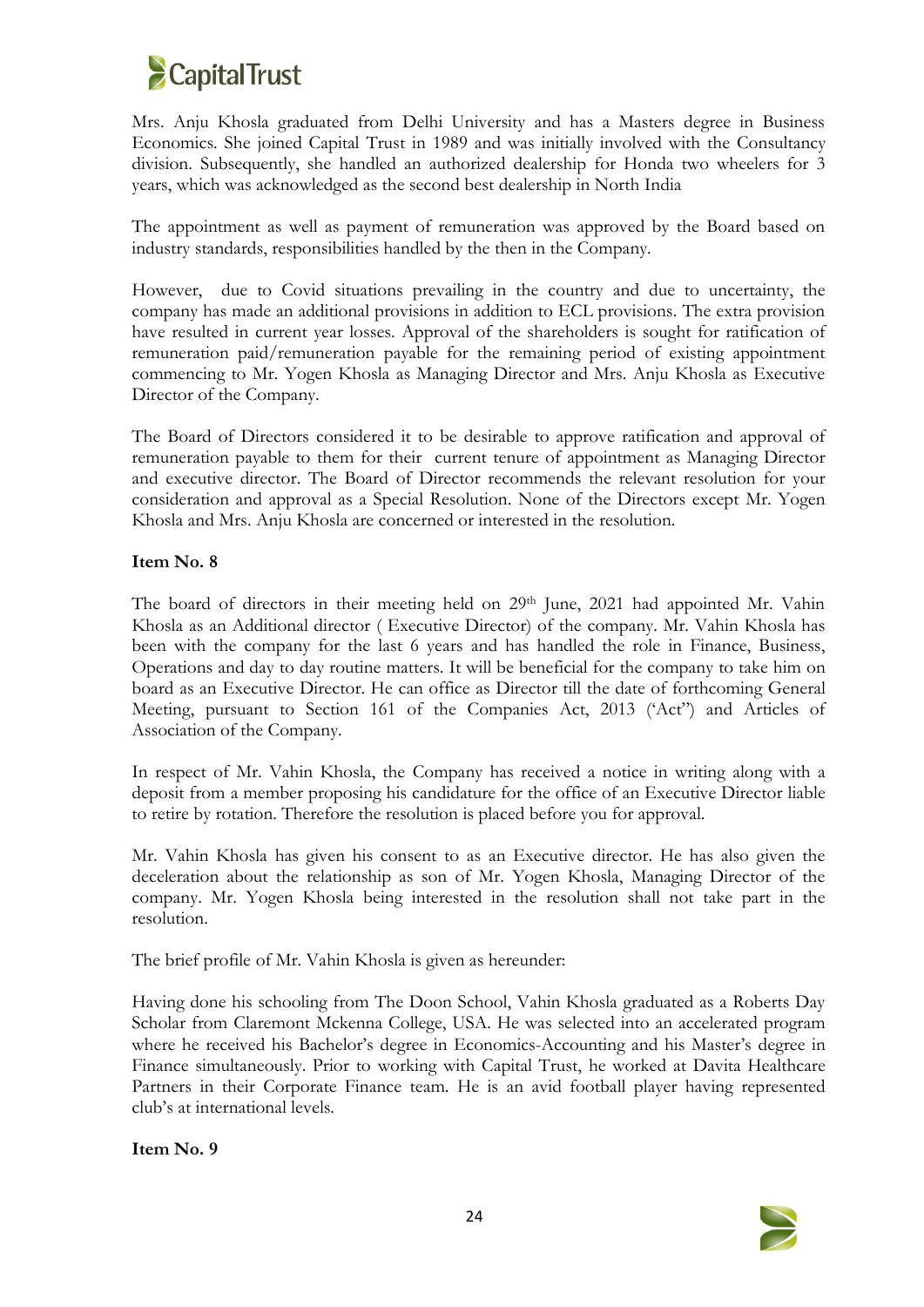

Mrs. Anju Khosla graduated from Delhi University and has a Masters degree in Business Economics. She joined Capital Trust in 1989 and was initially involved with the Consultancy division. Subsequently, she handled an authorized dealership for Honda two wheelers for 3 years, which was acknowledged as the second best dealership in North India

The appointment as well as payment of remuneration was approved by the Board based on industry standards, responsibilities handled by the then in the Company.

However, due to Covid situations prevailing in the country and due to uncertainty, the company has made an additional provisions in addition to ECL provisions. The extra provision have resulted in current year losses. Approval of the shareholders is sought for ratification of remuneration paid/remuneration payable for the remaining period of existing appointment commencing to Mr. Yogen Khosla as Managing Director and Mrs. Anju Khosla as Executive Director of the Company.

The Board of Directors considered it to be desirable to approve ratification and approval of remuneration payable to them for their current tenure of appointment as Managing Director and executive director. The Board of Director recommends the relevant resolution for your consideration and approval as a Special Resolution. None of the Directors except Mr. Yogen Khosla and Mrs. Anju Khosla are concerned or interested in the resolution.

### **Item No. 8**

The board of directors in their meeting held on 29<sup>th</sup> June, 2021 had appointed Mr. Vahin Khosla as an Additional director ( Executive Director) of the company. Mr. Vahin Khosla has been with the company for the last 6 years and has handled the role in Finance, Business, Operations and day to day routine matters. It will be beneficial for the company to take him on board as an Executive Director. He can office as Director till the date of forthcoming General Meeting, pursuant to Section 161 of the Companies Act, 2013 ('Act") and Articles of Association of the Company.

In respect of Mr. Vahin Khosla, the Company has received a notice in writing along with a deposit from a member proposing his candidature for the office of an Executive Director liable to retire by rotation. Therefore the resolution is placed before you for approval.

Mr. Vahin Khosla has given his consent to as an Executive director. He has also given the deceleration about the relationship as son of Mr. Yogen Khosla, Managing Director of the company. Mr. Yogen Khosla being interested in the resolution shall not take part in the resolution.

The brief profile of Mr. Vahin Khosla is given as hereunder:

Having done his schooling from The Doon School, Vahin Khosla graduated as a Roberts Day Scholar from Claremont Mckenna College, USA. He was selected into an accelerated program where he received his Bachelor's degree in Economics-Accounting and his Master's degree in Finance simultaneously. Prior to working with Capital Trust, he worked at Davita Healthcare Partners in their Corporate Finance team. He is an avid football player having represented club's at international levels.

**Item No. 9**

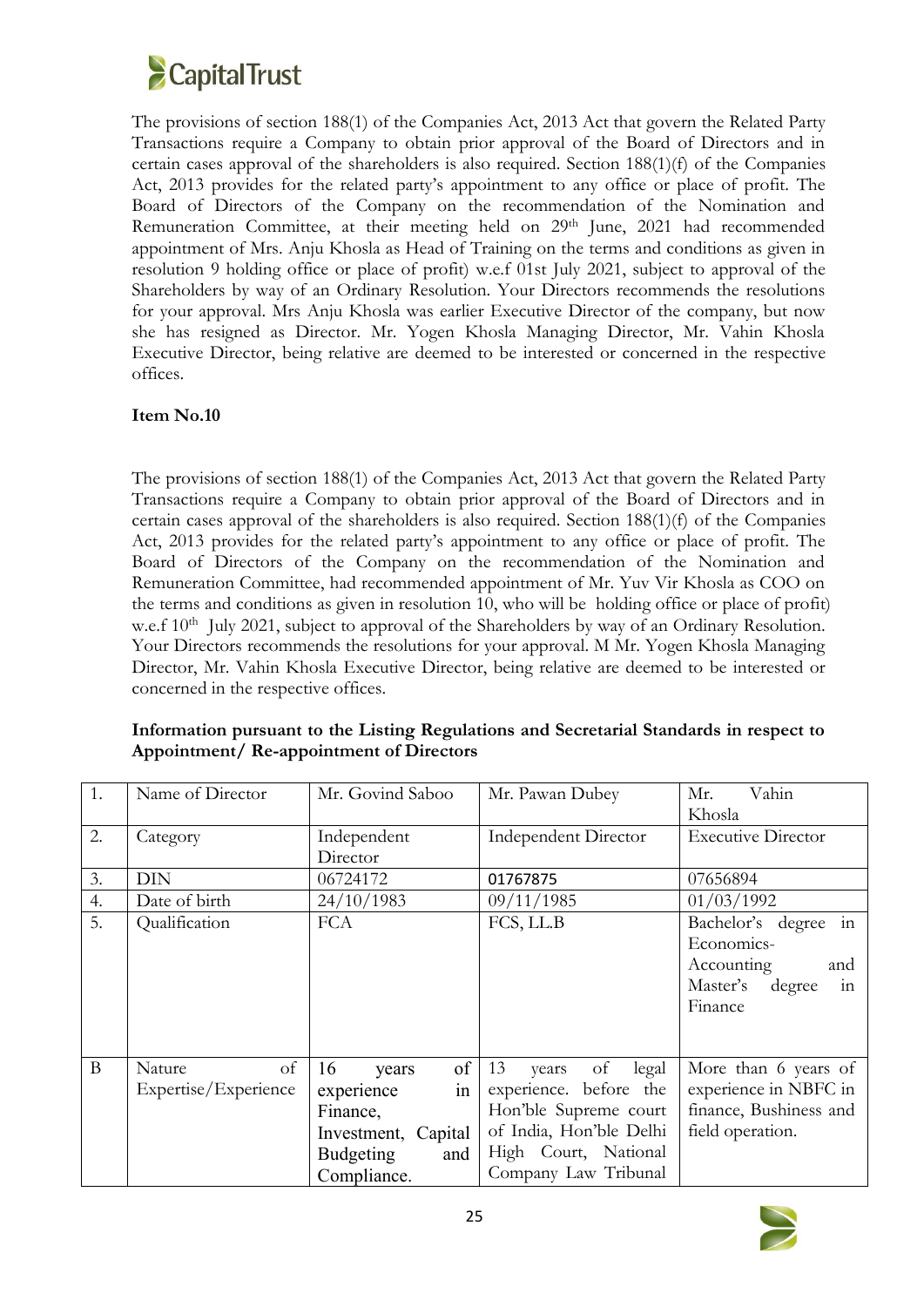

The provisions of section 188(1) of the Companies Act, 2013 Act that govern the Related Party Transactions require a Company to obtain prior approval of the Board of Directors and in certain cases approval of the shareholders is also required. Section 188(1)(f) of the Companies Act, 2013 provides for the related party's appointment to any office or place of profit. The Board of Directors of the Company on the recommendation of the Nomination and Remuneration Committee, at their meeting held on 29<sup>th</sup> June, 2021 had recommended appointment of Mrs. Anju Khosla as Head of Training on the terms and conditions as given in resolution 9 holding office or place of profit) w.e.f 01st July 2021, subject to approval of the Shareholders by way of an Ordinary Resolution. Your Directors recommends the resolutions for your approval. Mrs Anju Khosla was earlier Executive Director of the company, but now she has resigned as Director.Mr. Yogen Khosla Managing Director, Mr. Vahin Khosla Executive Director, being relative are deemed to be interested or concerned in the respective offices.

### **Item No.10**

The provisions of section 188(1) of the Companies Act, 2013 Act that govern the Related Party Transactions require a Company to obtain prior approval of the Board of Directors and in certain cases approval of the shareholders is also required. Section 188(1)(f) of the Companies Act, 2013 provides for the related party's appointment to any office or place of profit. The Board of Directors of the Company on the recommendation of the Nomination and Remuneration Committee, had recommended appointment of Mr. Yuv Vir Khosla as COO on the terms and conditions as given in resolution 10,who will be holding office or place of profit) w.e.f 10<sup>th</sup> July 2021, subject to approval of the Shareholders by way of an Ordinary Resolution. Your Directors recommends the resolutions for your approval. M Mr. Yogen Khosla Managing Director, Mr. Vahin Khosla Executive Director, being relative are deemed to be interested or concerned in the respective offices.

| 1.          | Name of Director                     | Mr. Govind Saboo                                                                                            | Mr. Pawan Dubey                                                                                                                                       |                                                                                                |
|-------------|--------------------------------------|-------------------------------------------------------------------------------------------------------------|-------------------------------------------------------------------------------------------------------------------------------------------------------|------------------------------------------------------------------------------------------------|
| 2.          | Category                             | Independent<br>Director                                                                                     | <b>Independent Director</b>                                                                                                                           | <b>Executive Director</b>                                                                      |
| 3.          | <b>DIN</b>                           | 06724172                                                                                                    | 01767875                                                                                                                                              | 07656894                                                                                       |
| 4.          | Date of birth                        | 24/10/1983                                                                                                  | 09/11/1985                                                                                                                                            | 01/03/1992                                                                                     |
| 5.          | Qualification                        | <b>FCA</b>                                                                                                  | FCS, LL.B                                                                                                                                             | Bachelor's degree in<br>Economics-<br>Accounting<br>and<br>in<br>Master's<br>degree<br>Finance |
| $\mathbf B$ | of<br>Nature<br>Expertise/Experience | 16<br>of<br>years<br>in<br>experience<br>Finance,<br>Investment, Capital<br>Budgeting<br>and<br>Compliance. | 13<br>of legal<br>vears<br>experience. before the<br>Hon'ble Supreme court<br>of India, Hon'ble Delhi<br>High Court, National<br>Company Law Tribunal | More than 6 years of<br>experience in NBFC in<br>finance, Bushiness and<br>field operation.    |

**Information pursuant to the Listing Regulations and Secretarial Standards in respect to Appointment/ Re-appointment of Directors**

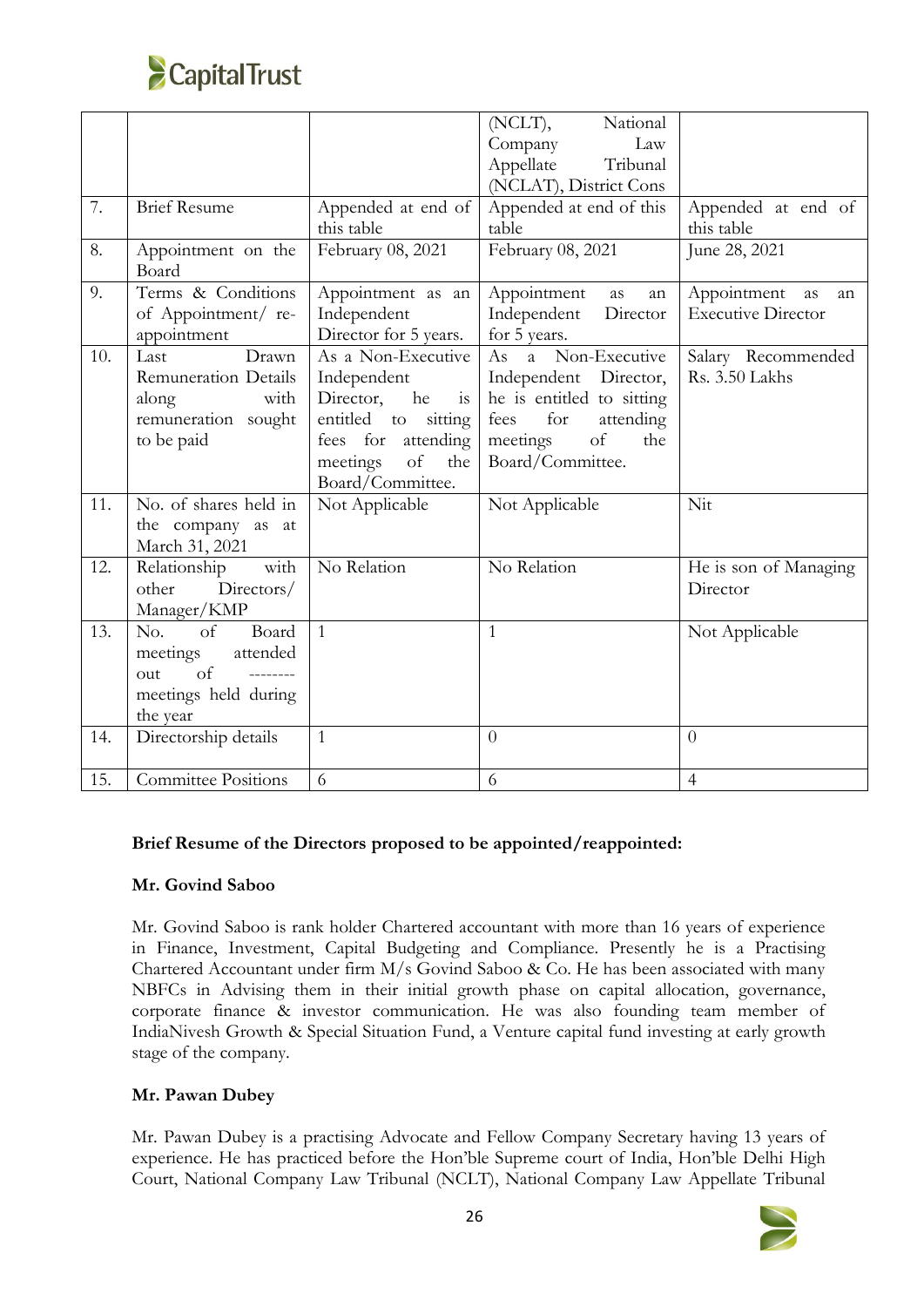

|     |                                                                                                                |                                                                                                                                                   | National<br>(NCLT),<br>Company<br>Law<br>Appellate<br>Tribunal<br>(NCLAT), District Cons                                                          |                                                   |
|-----|----------------------------------------------------------------------------------------------------------------|---------------------------------------------------------------------------------------------------------------------------------------------------|---------------------------------------------------------------------------------------------------------------------------------------------------|---------------------------------------------------|
| 7.  | <b>Brief Resume</b>                                                                                            | Appended at end of<br>this table                                                                                                                  | Appended at end of this<br>table                                                                                                                  | Appended at end of<br>this table                  |
| 8.  | Appointment on the<br>Board                                                                                    | February 08, 2021                                                                                                                                 | February 08, 2021                                                                                                                                 | June 28, 2021                                     |
| 9.  | Terms & Conditions<br>of Appointment/ re-<br>appointment                                                       | Appointment as an<br>Independent<br>Director for 5 years.                                                                                         | Appointment<br>as<br>an<br>Independent<br>Director<br>for 5 years.                                                                                | Appointment as<br>an<br><b>Executive Director</b> |
| 10. | Drawn<br>Last<br>Remuneration Details<br>with<br>along<br>remuneration sought<br>to be paid                    | As a Non-Executive<br>Independent<br>Director, he is<br>entitled to sitting<br>fees for<br>attending<br>of<br>meetings<br>the<br>Board/Committee. | As a Non-Executive<br>Independent Director,<br>he is entitled to sitting<br>for<br>fees<br>attending<br>of<br>meetings<br>the<br>Board/Committee. | Salary Recommended<br>Rs. 3.50 Lakhs              |
| 11. | No. of shares held in<br>the company as at<br>March 31, 2021                                                   | Not Applicable                                                                                                                                    | Not Applicable                                                                                                                                    | Nit                                               |
| 12. | with<br>Relationship<br>Directors/<br>other<br>Manager/KMP                                                     | No Relation                                                                                                                                       | No Relation                                                                                                                                       | He is son of Managing<br>Director                 |
| 13. | Board<br>No.<br>of<br>meetings<br>attended<br>of<br><u>________</u><br>out<br>meetings held during<br>the year | $\mathbf{1}$                                                                                                                                      | $\mathbf{1}$                                                                                                                                      | Not Applicable                                    |
| 14. | Directorship details                                                                                           | $\mathbf{1}$                                                                                                                                      | $\theta$                                                                                                                                          | $\theta$                                          |
| 15. | <b>Committee Positions</b>                                                                                     | 6                                                                                                                                                 | 6                                                                                                                                                 | $\overline{4}$                                    |

## **Brief Resume of the Directors proposed to be appointed/reappointed:**

### **Mr. Govind Saboo**

Mr. Govind Saboo is rank holder Chartered accountant with more than 16 years of experience in Finance, Investment, Capital Budgeting and Compliance. Presently he is a Practising Chartered Accountant under firm M/s Govind Saboo & Co. He has been associated with many NBFCs in Advising them in their initial growth phase on capital allocation, governance, corporate finance & investor communication. He was also founding team member of IndiaNivesh Growth & Special Situation Fund, a Venture capital fund investing at early growth stage of the company.

### **Mr. Pawan Dubey**

Mr. Pawan Dubey is a practising Advocate and Fellow Company Secretary having 13 years of experience. He has practiced before the Hon'ble Supreme court of India, Hon'ble Delhi High Court, National Company Law Tribunal (NCLT), National Company Law Appellate Tribunal